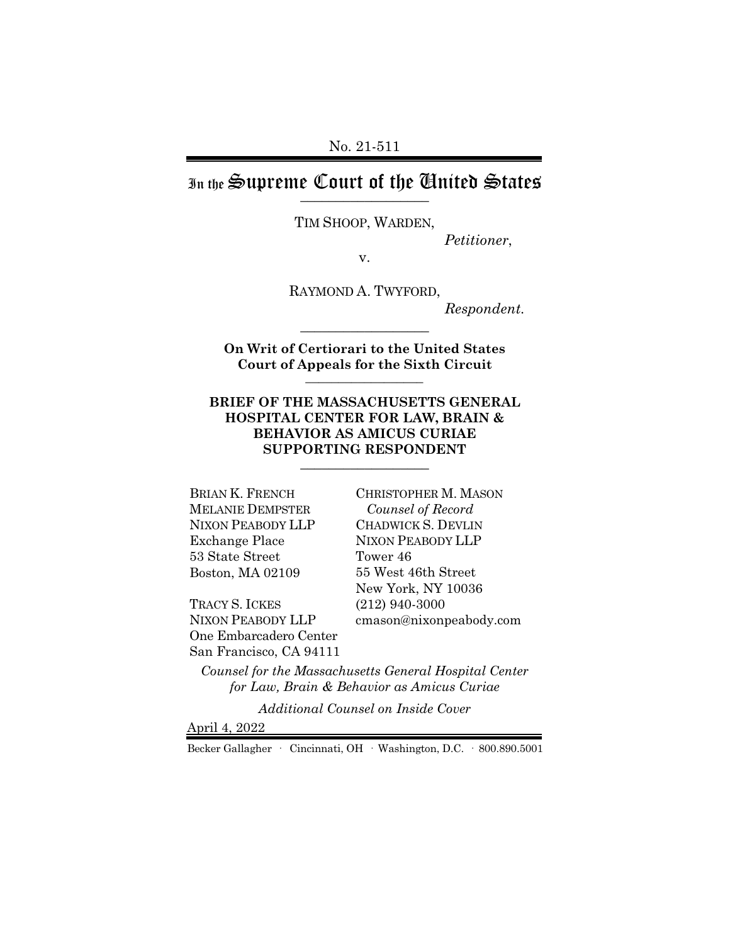### In the Supreme Court of the United States  $\frac{1}{2}$

TIM SHOOP, WARDEN,

*Petitioner*,

v.

RAYMOND A. TWYFORD, *Respondent.*

**On Writ of Certiorari to the United States Court of Appeals for the Sixth Circuit** \_\_\_\_\_\_\_\_\_\_\_\_\_\_\_\_\_\_

\_\_\_\_\_\_\_\_\_\_\_\_\_\_\_\_\_\_

#### **BRIEF OF THE MASSACHUSETTS GENERAL HOSPITAL CENTER FOR LAW, BRAIN & BEHAVIOR AS AMICUS CURIAE SUPPORTING RESPONDENT** \_\_\_\_\_\_\_\_\_\_\_\_\_\_\_\_\_\_

BRIAN K. FRENCH MELANIE DEMPSTER NIXON PEABODY LLP Exchange Place 53 State Street Boston, MA 02109

TRACY S. ICKES NIXON PEABODY LLP One Embarcadero Center San Francisco, CA 94111 CHRISTOPHER M. MASON  *Counsel of Record* CHADWICK S. DEVLIN NIXON PEABODY LLP Tower 46 55 West 46th Street New York, NY 10036 (212) 940-3000 cmason@nixonpeabody.com

*Counsel for the Massachusetts General Hospital Center for Law, Brain & Behavior as Amicus Curiae*

*Additional Counsel on Inside Cover*

April 4, 2022

Becker Gallagher · Cincinnati, OH · Washington, D.C. · 800.890.5001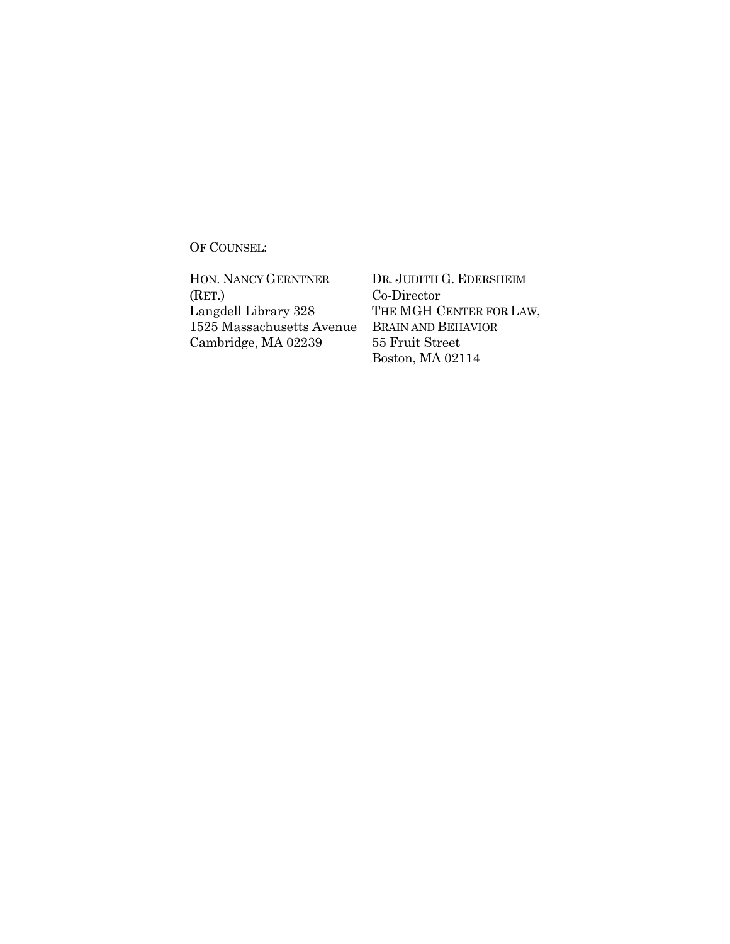OF COUNSEL:

HON. NANCY GERNTNER (RET.) Langdell Library 328 1525 Massachusetts Avenue Cambridge, MA 02239

DR. JUDITH G. EDERSHEIM Co-Director THE MGH CENTER FOR LAW, BRAIN AND BEHAVIOR 55 Fruit Street Boston, MA 02114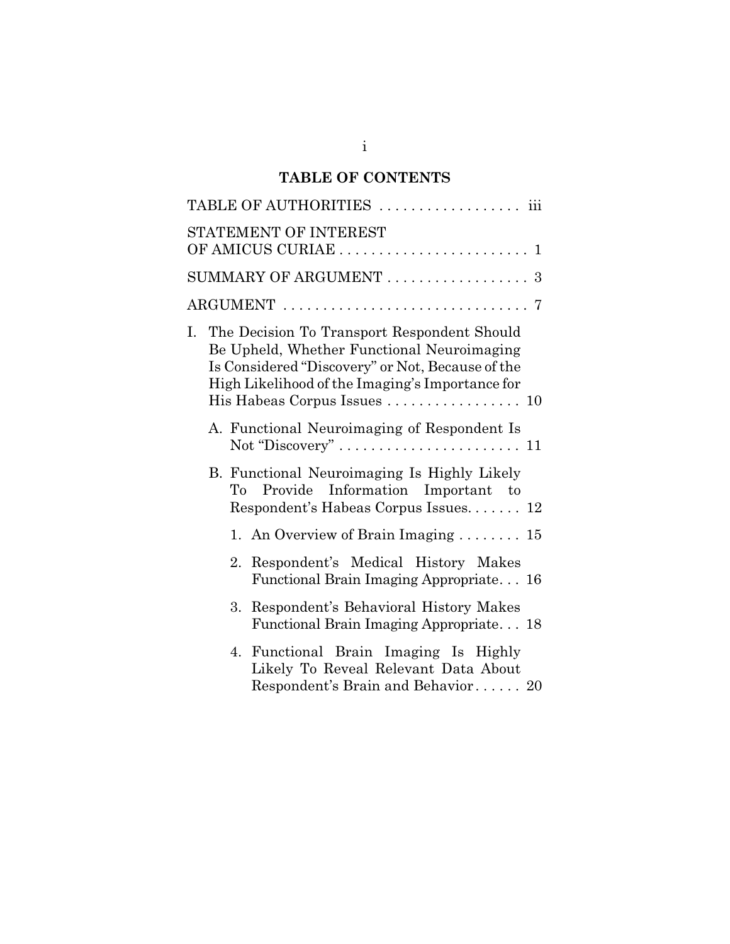# **TABLE OF CONTENTS**

|                        |  |    | TABLE OF AUTHORITIES  iii                                                                                                                                                                                                       |  |  |  |  |  |  |  |  |
|------------------------|--|----|---------------------------------------------------------------------------------------------------------------------------------------------------------------------------------------------------------------------------------|--|--|--|--|--|--|--|--|
| STATEMENT OF INTEREST  |  |    |                                                                                                                                                                                                                                 |  |  |  |  |  |  |  |  |
| SUMMARY OF ARGUMENT  3 |  |    |                                                                                                                                                                                                                                 |  |  |  |  |  |  |  |  |
|                        |  |    |                                                                                                                                                                                                                                 |  |  |  |  |  |  |  |  |
| Ι.                     |  |    | The Decision To Transport Respondent Should<br>Be Upheld, Whether Functional Neuroimaging<br>Is Considered "Discovery" or Not, Because of the<br>High Likelihood of the Imaging's Importance for<br>His Habeas Corpus Issues 10 |  |  |  |  |  |  |  |  |
|                        |  |    | A. Functional Neuroimaging of Respondent Is                                                                                                                                                                                     |  |  |  |  |  |  |  |  |
|                        |  |    | B. Functional Neuroimaging Is Highly Likely<br>Information Important to<br>To Provide<br>Respondent's Habeas Corpus Issues 12                                                                                                   |  |  |  |  |  |  |  |  |
|                        |  |    | 1. An Overview of Brain Imaging $\dots \dots \dots$ 15                                                                                                                                                                          |  |  |  |  |  |  |  |  |
|                        |  |    | 2. Respondent's Medical History Makes<br>Functional Brain Imaging Appropriate 16                                                                                                                                                |  |  |  |  |  |  |  |  |
|                        |  | 3. | Respondent's Behavioral History Makes<br>Functional Brain Imaging Appropriate 18                                                                                                                                                |  |  |  |  |  |  |  |  |
|                        |  | 4. | Functional Brain Imaging Is Highly<br>Likely To Reveal Relevant Data About<br>Respondent's Brain and Behavior 20                                                                                                                |  |  |  |  |  |  |  |  |
|                        |  |    |                                                                                                                                                                                                                                 |  |  |  |  |  |  |  |  |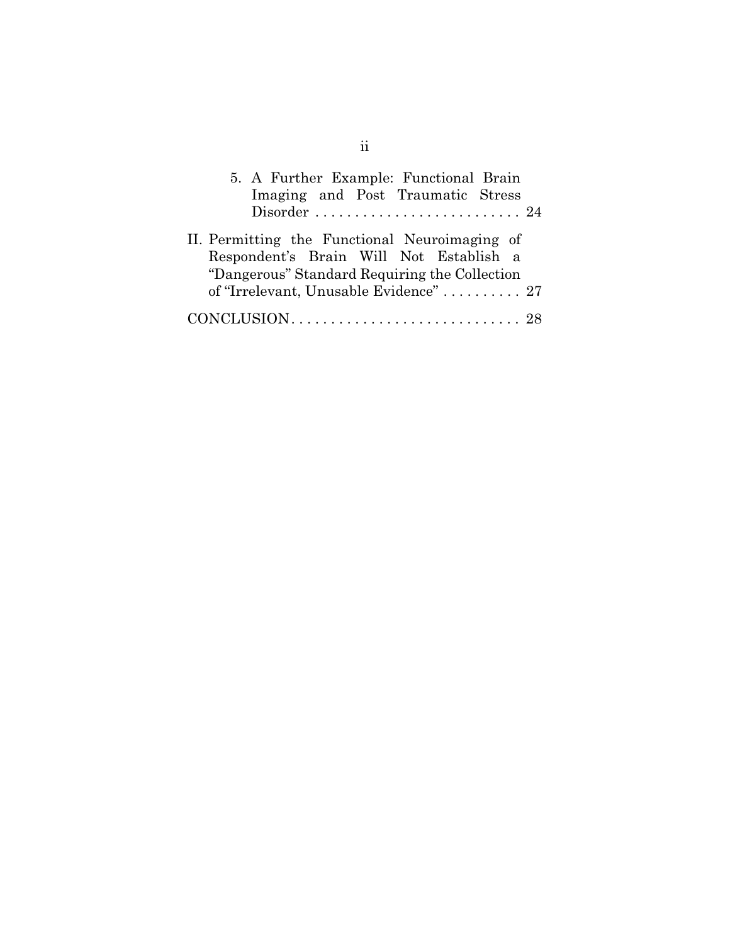| 5. A Further Example: Functional Brain        |
|-----------------------------------------------|
| Imaging and Post Traumatic Stress             |
|                                               |
| II. Permitting the Functional Neuroimaging of |
| Respondent's Brain Will Not Establish a       |
| "Dangerous" Standard Requiring the Collection |
| of "Irrelevant, Unusable Evidence"  27        |
| CONCLUSION                                    |

ii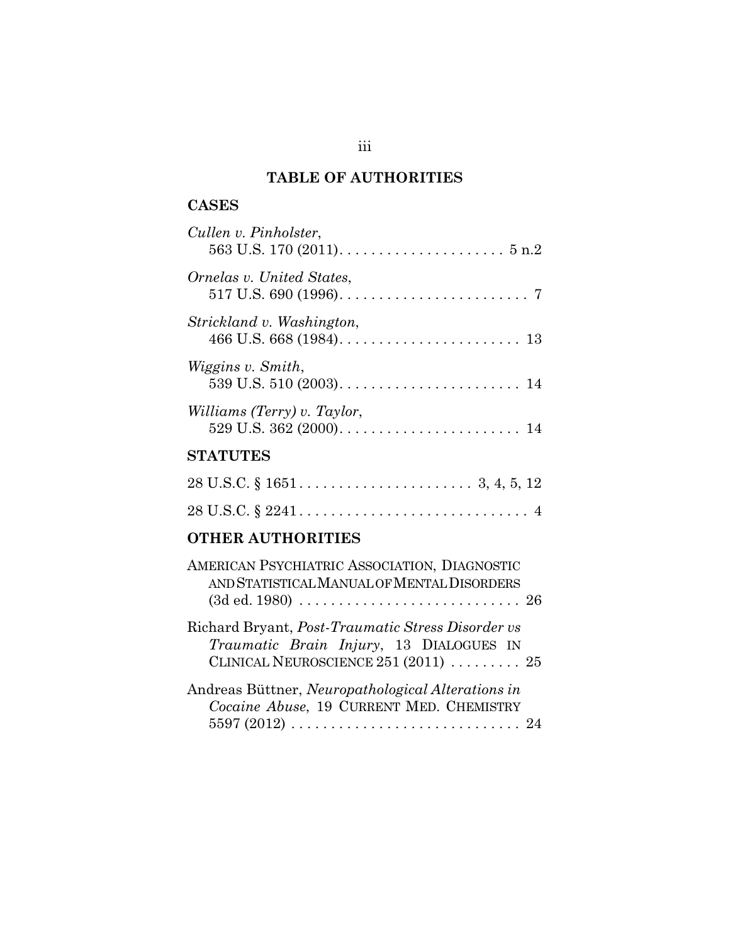# **TABLE OF AUTHORITIES**

## **CASES**

| Cullen v. Pinholster,<br>563 U.S. 170 (2011). $\dots \dots \dots \dots \dots \dots \dots \dots$ 5 n.2 |
|-------------------------------------------------------------------------------------------------------|
| Ornelas v. United States,                                                                             |
| Strickland v. Washington,                                                                             |
| Wiggins v. Smith,                                                                                     |
| Williams (Terry) v. Taylor,                                                                           |
| <b>STATUTES</b>                                                                                       |

# **OTHER AUTHORITIES**

| AMERICAN PSYCHIATRIC ASSOCIATION, DIAGNOSTIC<br>AND STATISTICAL MANUAL OF MENTAL DISORDERS                                             |  |
|----------------------------------------------------------------------------------------------------------------------------------------|--|
| Richard Bryant, Post-Traumatic Stress Disorder vs<br>Traumatic Brain Injury, 13 DIALOGUES IN<br>CLINICAL NEUROSCIENCE $251(2011)$ $25$ |  |
| Andreas Büttner, Neuropathological Alterations in<br>Cocaine Abuse, 19 CURRENT MED. CHEMISTRY                                          |  |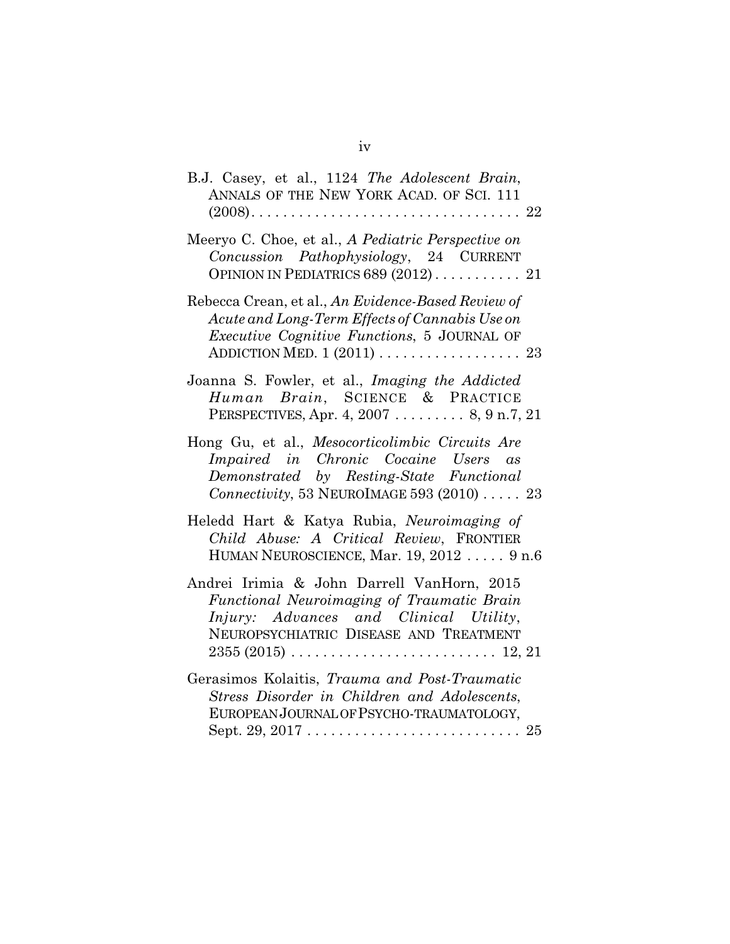| B.J. Casey, et al., 1124 The Adolescent Brain,<br>ANNALS OF THE NEW YORK ACAD. OF SCI. 111                                                                                                                                                                          |
|---------------------------------------------------------------------------------------------------------------------------------------------------------------------------------------------------------------------------------------------------------------------|
| Meeryo C. Choe, et al., A Pediatric Perspective on<br>Concussion Pathophysiology, 24 CURRENT<br>OPINION IN PEDIATRICS 689 (2012)  21                                                                                                                                |
| Rebecca Crean, et al., An Evidence-Based Review of<br>Acute and Long-Term Effects of Cannabis Use on<br>Executive Cognitive Functions, 5 JOURNAL OF                                                                                                                 |
| Joanna S. Fowler, et al., Imaging the Addicted<br>Human Brain, SCIENCE & PRACTICE<br>PERSPECTIVES, Apr. 4, 2007 8, 9 n.7, 21                                                                                                                                        |
| Hong Gu, et al., Mesocorticolimbic Circuits Are<br>Impaired in Chronic Cocaine Users as<br>Demonstrated by Resting-State Functional<br>Connectivity, 53 NEUROIMAGE 593 (2010) $\ldots$ . 23                                                                         |
| Heledd Hart & Katya Rubia, Neuroimaging of<br>Child Abuse: A Critical Review, FRONTIER<br>HUMAN NEUROSCIENCE, Mar. 19, 2012  9 n.6                                                                                                                                  |
| Andrei Irimia & John Darrell VanHorn, 2015<br>Functional Neuroimaging of Traumatic Brain<br>Injury: Advances and Clinical Utility,<br>NEUROPSYCHIATRIC DISEASE AND TREATMENT<br>$2355 (2015) \ldots \ldots \ldots \ldots \ldots \ldots \ldots \ldots \ldots 12, 21$ |
| Gerasimos Kolaitis, Trauma and Post-Traumatic<br>Stress Disorder in Children and Adolescents,<br>EUROPEAN JOURNAL OF PSYCHO-TRAUMATOLOGY,                                                                                                                           |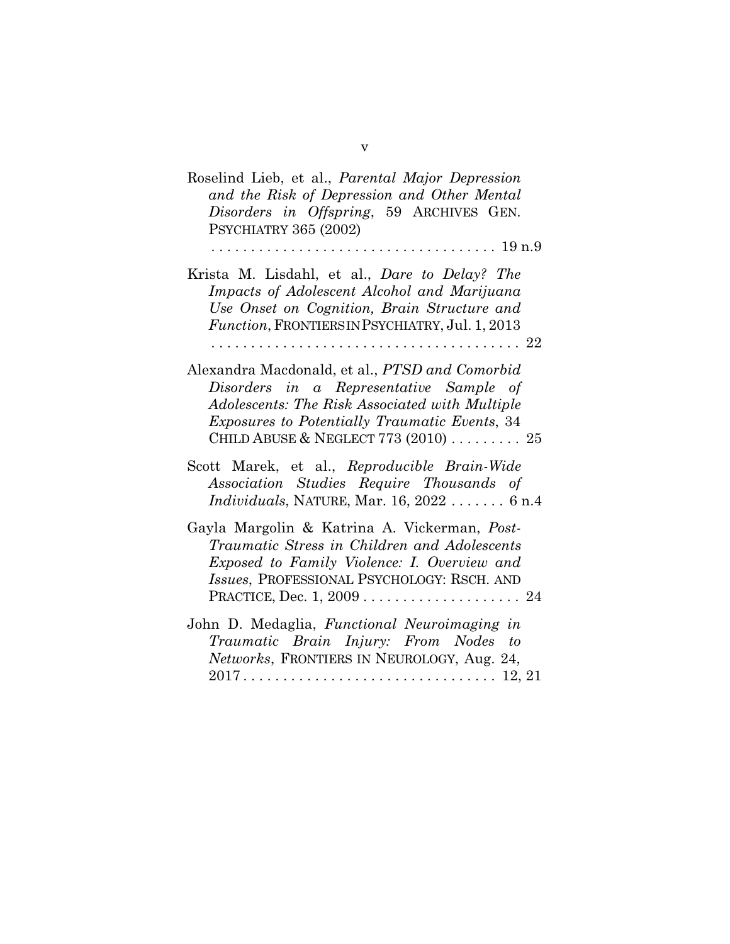| Roselind Lieb, et al., <i>Parental Major Depression</i><br>and the Risk of Depression and Other Mental<br>Disorders in Offspring, 59 ARCHIVES GEN.<br>PSYCHIATRY 365 (2002)                                                                                               |
|---------------------------------------------------------------------------------------------------------------------------------------------------------------------------------------------------------------------------------------------------------------------------|
| Krista M. Lisdahl, et al., Dare to Delay? The<br>Impacts of Adolescent Alcohol and Marijuana<br>Use Onset on Cognition, Brain Structure and<br>Function, FRONTIERS IN PSYCHIATRY, Jul. 1, 2013                                                                            |
| Alexandra Macdonald, et al., PTSD and Comorbid<br>Disorders in a Representative Sample of<br>Adolescents: The Risk Associated with Multiple<br><i>Exposures to Potentially Traumatic Events, 34</i><br>CHILD ABUSE & NEGLECT 773 $(2010)$ 25                              |
| Scott Marek, et al., Reproducible Brain-Wide<br>Association Studies Require Thousands of<br><i>Individuals</i> , NATURE, Mar. $16, 2022$ $6n.4$                                                                                                                           |
| Gayla Margolin & Katrina A. Vickerman, <i>Post-</i><br>Traumatic Stress in Children and Adolescents<br>Exposed to Family Violence: I. Overview and<br>Issues, PROFESSIONAL PSYCHOLOGY: RSCH. AND<br>PRACTICE, Dec. $1, 2009 \ldots \ldots \ldots \ldots \ldots \ldots 24$ |
| John D. Medaglia, Functional Neuroimaging in<br>Traumatic Brain Injury: From Nodes to<br>Networks, FRONTIERS IN NEUROLOGY, Aug. 24,                                                                                                                                       |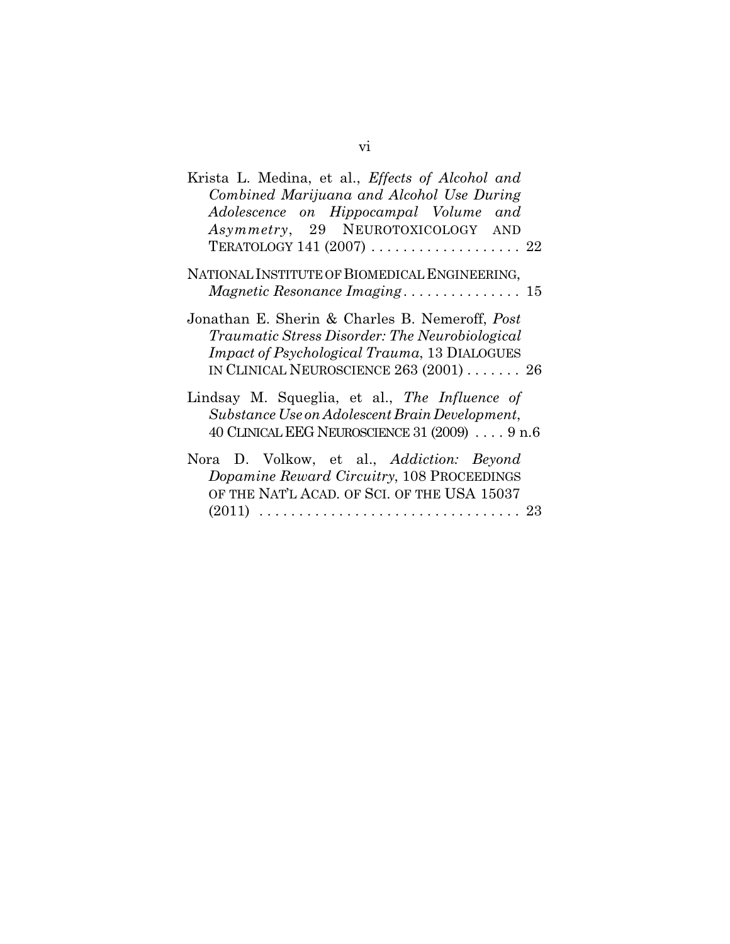| Krista L. Medina, et al., Effects of Alcohol and<br>Combined Marijuana and Alcohol Use During<br>Adolescence on Hippocampal Volume and<br>Asymmetry, 29 NEUROTOXICOLOGY AND<br>TERATOLOGY 141 (2007)  22 |
|----------------------------------------------------------------------------------------------------------------------------------------------------------------------------------------------------------|
| NATIONAL INSTITUTE OF BIOMEDICAL ENGINEERING,<br>Magnetic Resonance Imaging 15                                                                                                                           |
| Jonathan E. Sherin & Charles B. Nemeroff, Post<br>Traumatic Stress Disorder: The Neurobiological<br><i>Impact of Psychological Trauma, 13 DIALOGUES</i><br>IN CLINICAL NEUROSCIENCE $263(2001)$ $26$     |
| Lindsay M. Squeglia, et al., The Influence of<br>Substance Use on Adolescent Brain Development,<br>40 CLINICAL EEG NEUROSCIENCE 31 (2009) 9 n.6                                                          |
| Nora D. Volkow, et al., Addiction: Beyond<br>Dopamine Reward Circuitry, 108 PROCEEDINGS<br>OF THE NAT'L ACAD. OF SCI. OF THE USA 15037                                                                   |

(2011) . . . . . . . . . . . . . . . . . . . . . . . . . . . . . . . . . 23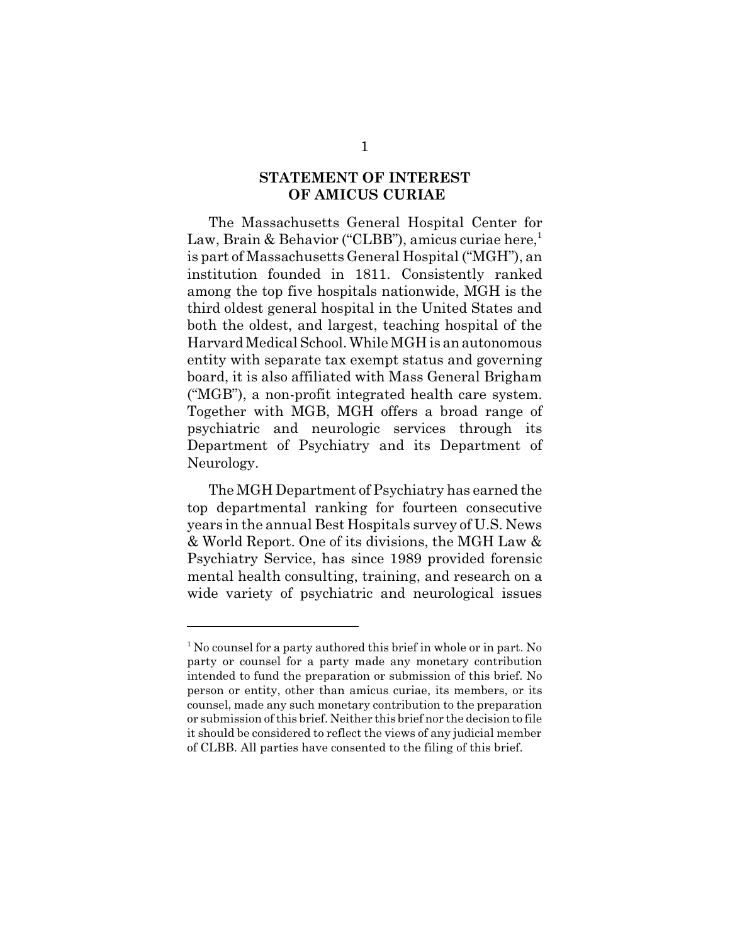### **STATEMENT OF INTEREST OF AMICUS CURIAE**

The Massachusetts General Hospital Center for Law, Brain & Behavior ("CLBB"), amicus curiae here,<sup>1</sup> is part of Massachusetts General Hospital ("MGH"), an institution founded in 1811. Consistently ranked among the top five hospitals nationwide, MGH is the third oldest general hospital in the United States and both the oldest, and largest, teaching hospital of the Harvard Medical School. While MGH is an autonomous entity with separate tax exempt status and governing board, it is also affiliated with Mass General Brigham ("MGB"), a non-profit integrated health care system. Together with MGB, MGH offers a broad range of psychiatric and neurologic services through its Department of Psychiatry and its Department of Neurology.

The MGH Department of Psychiatry has earned the top departmental ranking for fourteen consecutive years in the annual Best Hospitals survey of U.S. News & World Report. One of its divisions, the MGH Law & Psychiatry Service, has since 1989 provided forensic mental health consulting, training, and research on a wide variety of psychiatric and neurological issues

<sup>&</sup>lt;sup>1</sup> No counsel for a party authored this brief in whole or in part. No party or counsel for a party made any monetary contribution intended to fund the preparation or submission of this brief. No person or entity, other than amicus curiae, its members, or its counsel, made any such monetary contribution to the preparation or submission of this brief. Neither this brief nor the decision to file it should be considered to reflect the views of any judicial member of CLBB. All parties have consented to the filing of this brief.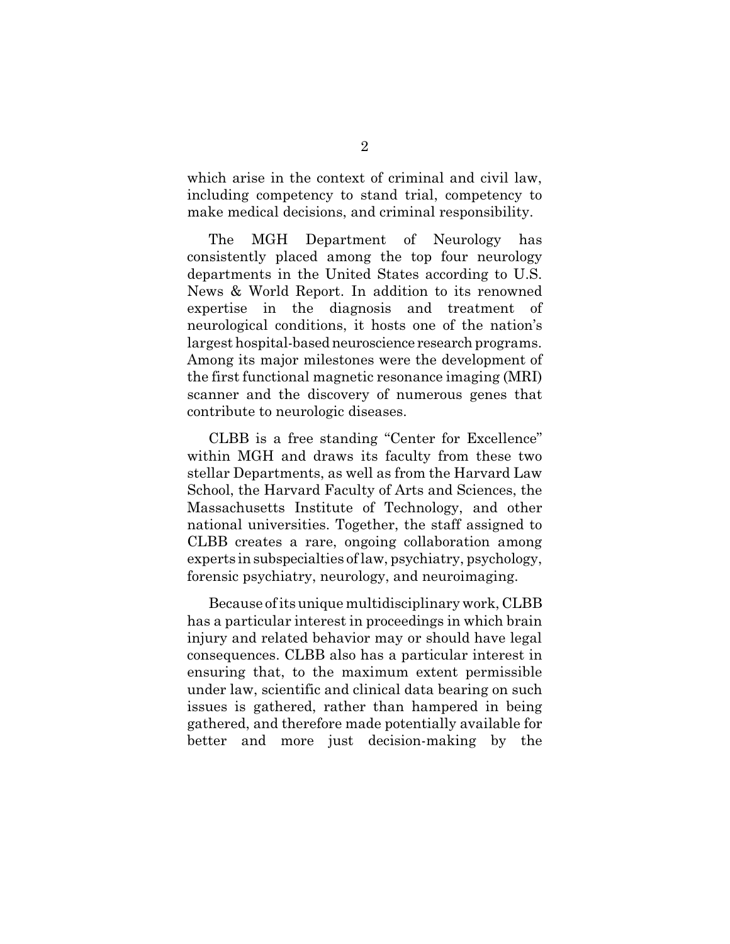which arise in the context of criminal and civil law, including competency to stand trial, competency to make medical decisions, and criminal responsibility.

The MGH Department of Neurology has consistently placed among the top four neurology departments in the United States according to U.S. News & World Report. In addition to its renowned expertise in the diagnosis and treatment of neurological conditions, it hosts one of the nation's largest hospital-based neuroscience research programs. Among its major milestones were the development of the first functional magnetic resonance imaging (MRI) scanner and the discovery of numerous genes that contribute to neurologic diseases.

CLBB is a free standing "Center for Excellence" within MGH and draws its faculty from these two stellar Departments, as well as from the Harvard Law School, the Harvard Faculty of Arts and Sciences, the Massachusetts Institute of Technology, and other national universities. Together, the staff assigned to CLBB creates a rare, ongoing collaboration among experts in subspecialties of law, psychiatry, psychology, forensic psychiatry, neurology, and neuroimaging.

Because of its unique multidisciplinary work, CLBB has a particular interest in proceedings in which brain injury and related behavior may or should have legal consequences. CLBB also has a particular interest in ensuring that, to the maximum extent permissible under law, scientific and clinical data bearing on such issues is gathered, rather than hampered in being gathered, and therefore made potentially available for better and more just decision-making by the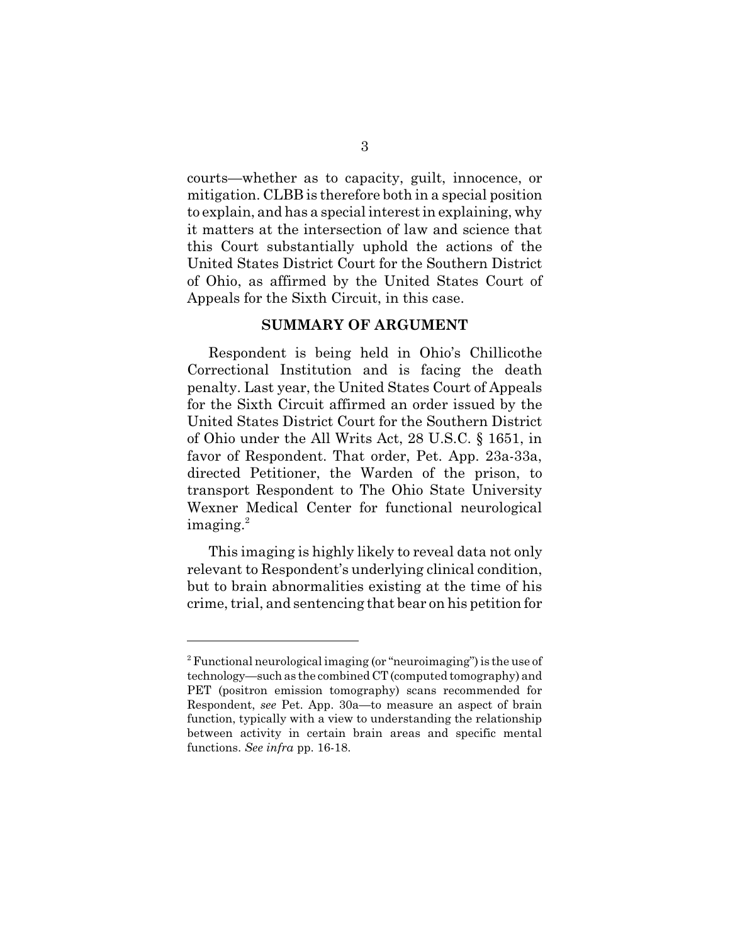courts—whether as to capacity, guilt, innocence, or mitigation. CLBB is therefore both in a special position to explain, and has a special interest in explaining, why it matters at the intersection of law and science that this Court substantially uphold the actions of the United States District Court for the Southern District of Ohio, as affirmed by the United States Court of Appeals for the Sixth Circuit, in this case.

#### **SUMMARY OF ARGUMENT**

Respondent is being held in Ohio's Chillicothe Correctional Institution and is facing the death penalty. Last year, the United States Court of Appeals for the Sixth Circuit affirmed an order issued by the United States District Court for the Southern District of Ohio under the All Writs Act, 28 U.S.C. § 1651, in favor of Respondent. That order, Pet. App. 23a-33a, directed Petitioner, the Warden of the prison, to transport Respondent to The Ohio State University Wexner Medical Center for functional neurological imaging.<sup>2</sup>

This imaging is highly likely to reveal data not only relevant to Respondent's underlying clinical condition, but to brain abnormalities existing at the time of his crime, trial, and sentencing that bear on his petition for

<sup>&</sup>lt;sup>2</sup> Functional neurological imaging (or "neuroimaging") is the use of technology—such as the combined CT (computed tomography) and PET (positron emission tomography) scans recommended for Respondent, *see* Pet. App. 30a—to measure an aspect of brain function, typically with a view to understanding the relationship between activity in certain brain areas and specific mental functions. *See infra* pp. 16-18.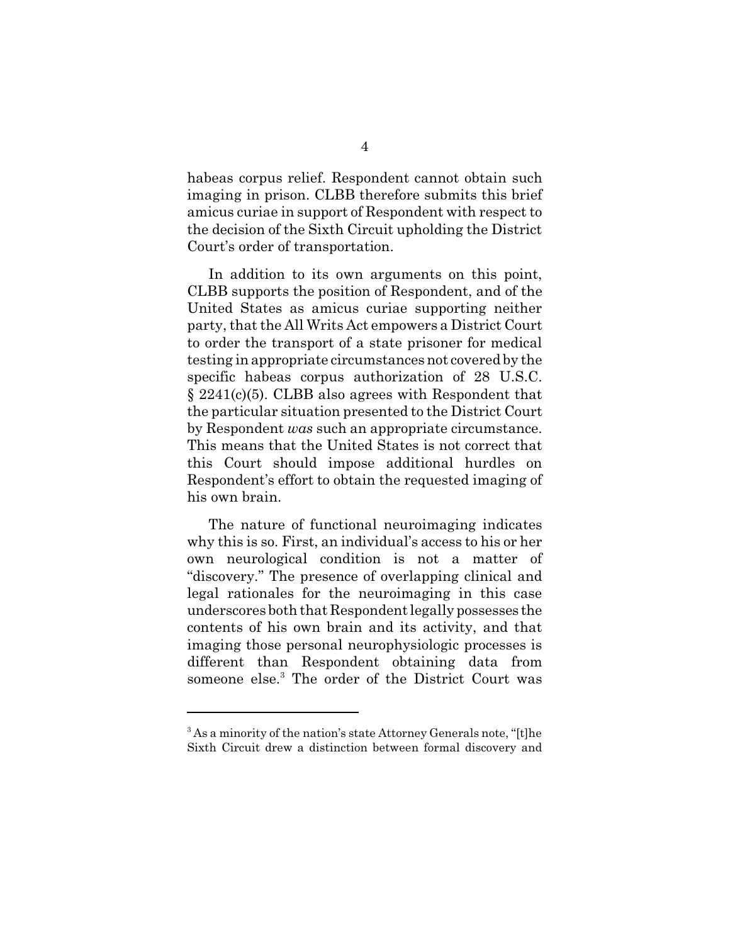habeas corpus relief. Respondent cannot obtain such imaging in prison. CLBB therefore submits this brief amicus curiae in support of Respondent with respect to the decision of the Sixth Circuit upholding the District Court's order of transportation.

In addition to its own arguments on this point, CLBB supports the position of Respondent, and of the United States as amicus curiae supporting neither party, that the All Writs Act empowers a District Court to order the transport of a state prisoner for medical testing in appropriate circumstances not covered by the specific habeas corpus authorization of 28 U.S.C. § 2241(c)(5). CLBB also agrees with Respondent that the particular situation presented to the District Court by Respondent *was* such an appropriate circumstance. This means that the United States is not correct that this Court should impose additional hurdles on Respondent's effort to obtain the requested imaging of his own brain.

The nature of functional neuroimaging indicates why this is so. First, an individual's access to his or her own neurological condition is not a matter of "discovery." The presence of overlapping clinical and legal rationales for the neuroimaging in this case underscores both that Respondent legally possesses the contents of his own brain and its activity, and that imaging those personal neurophysiologic processes is different than Respondent obtaining data from someone else.<sup>3</sup> The order of the District Court was

 $3$  As a minority of the nation's state Attorney Generals note, "[t]he Sixth Circuit drew a distinction between formal discovery and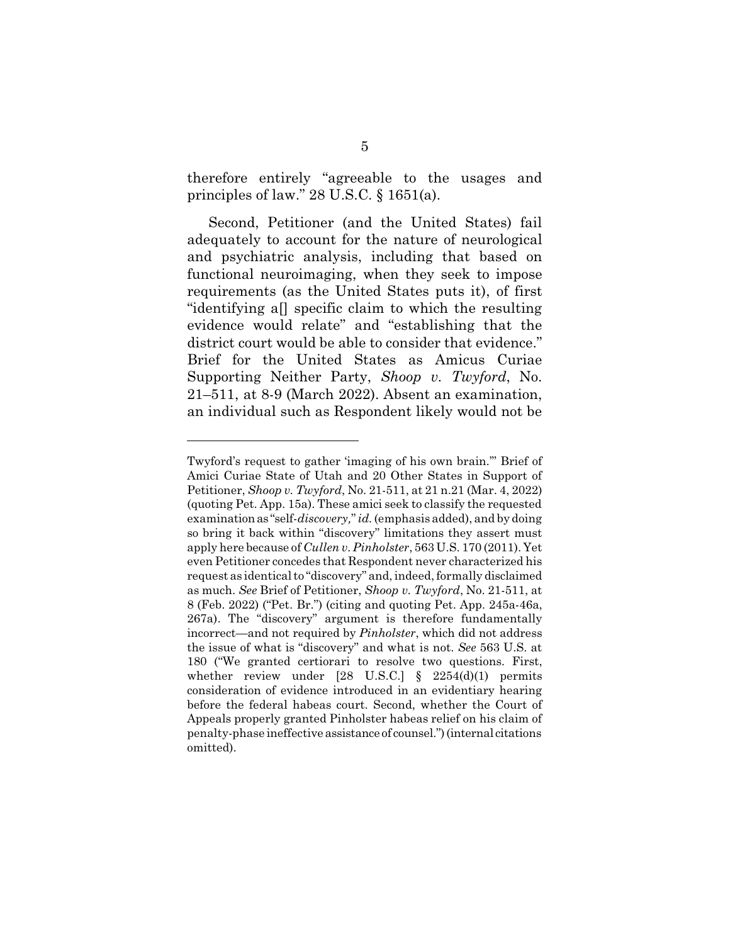therefore entirely "agreeable to the usages and principles of law."  $28$  U.S.C.  $\S$  1651(a).

Second, Petitioner (and the United States) fail adequately to account for the nature of neurological and psychiatric analysis, including that based on functional neuroimaging, when they seek to impose requirements (as the United States puts it), of first "identifying a[] specific claim to which the resulting evidence would relate" and "establishing that the district court would be able to consider that evidence." Brief for the United States as Amicus Curiae Supporting Neither Party, *Shoop v. Twyford*, No. 21–511, at 8-9 (March 2022). Absent an examination, an individual such as Respondent likely would not be

Twyford's request to gather 'imaging of his own brain.'" Brief of Amici Curiae State of Utah and 20 Other States in Support of Petitioner, *Shoop v. Twyford*, No. 21-511, at 21 n.21 (Mar. 4, 2022) (quoting Pet. App. 15a). These amici seek to classify the requested examination as "self-*discovery,*" *id.* (emphasis added), and by doing so bring it back within "discovery" limitations they assert must apply here because of *Cullen v. Pinholster*, 563 U.S. 170 (2011). Yet even Petitioner concedes that Respondent never characterized his request as identical to "discovery" and, indeed, formally disclaimed as much. *See* Brief of Petitioner, *Shoop v. Twyford*, No. 21-511, at 8 (Feb. 2022) ("Pet. Br.") (citing and quoting Pet. App. 245a-46a, 267a). The "discovery" argument is therefore fundamentally incorrect—and not required by *Pinholster*, which did not address the issue of what is "discovery" and what is not. *See* 563 U.S. at 180 ("We granted certiorari to resolve two questions. First, whether review under  $[28 \text{ U.S.C.}]$  §  $2254(d)(1)$  permits consideration of evidence introduced in an evidentiary hearing before the federal habeas court. Second, whether the Court of Appeals properly granted Pinholster habeas relief on his claim of penalty-phase ineffective assistance of counsel.") (internal citations omitted).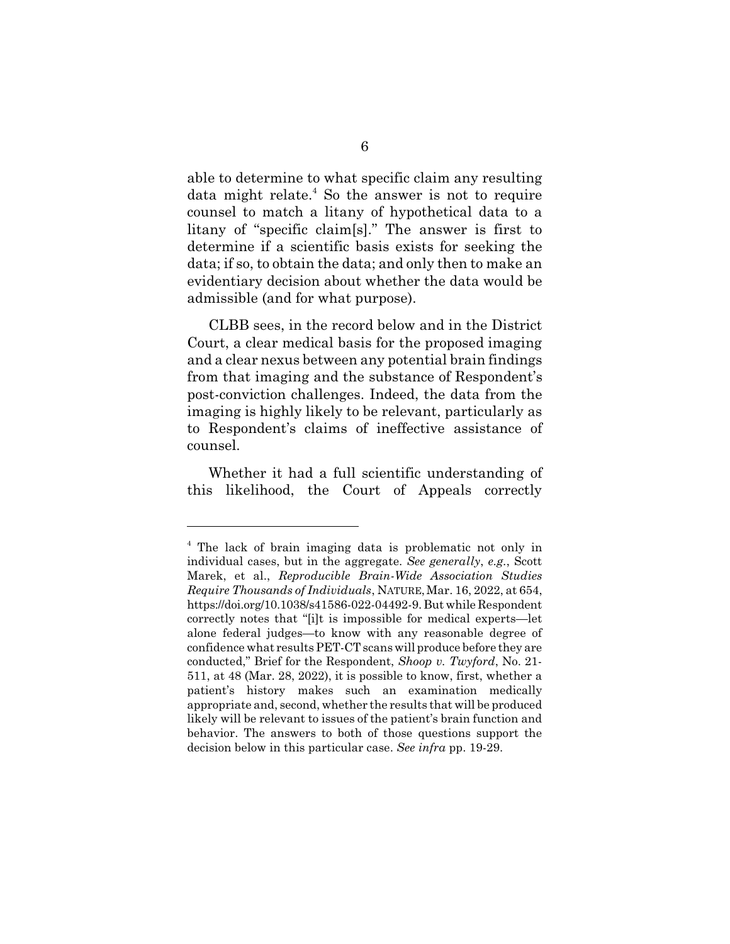able to determine to what specific claim any resulting data might relate.<sup>4</sup> So the answer is not to require counsel to match a litany of hypothetical data to a litany of "specific claim[s]." The answer is first to determine if a scientific basis exists for seeking the data; if so, to obtain the data; and only then to make an evidentiary decision about whether the data would be admissible (and for what purpose).

CLBB sees, in the record below and in the District Court, a clear medical basis for the proposed imaging and a clear nexus between any potential brain findings from that imaging and the substance of Respondent's post-conviction challenges. Indeed, the data from the imaging is highly likely to be relevant, particularly as to Respondent's claims of ineffective assistance of counsel.

Whether it had a full scientific understanding of this likelihood, the Court of Appeals correctly

<sup>4</sup> The lack of brain imaging data is problematic not only in individual cases, but in the aggregate. *See generally*, *e.g.*, Scott Marek, et al., *Reproducible Brain-Wide Association Studies Require Thousands of Individuals*, NATURE,Mar. 16, 2022, at 654, https://doi.org/10.1038/s41586-022-04492-9. But while Respondent correctly notes that "[i]t is impossible for medical experts—let alone federal judges—to know with any reasonable degree of confidence what results PET-CT scans will produce before they are conducted," Brief for the Respondent, *Shoop v. Twyford*, No. 21- 511, at 48 (Mar. 28, 2022), it is possible to know, first, whether a patient's history makes such an examination medically appropriate and, second, whether the results that will be produced likely will be relevant to issues of the patient's brain function and behavior. The answers to both of those questions support the decision below in this particular case. *See infra* pp. 19-29.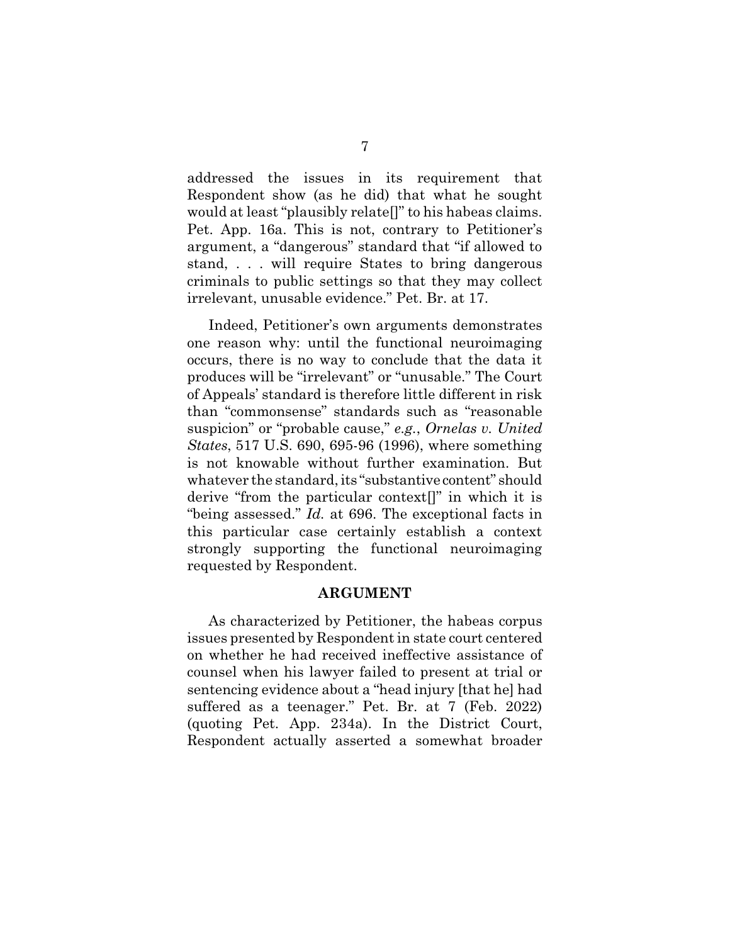addressed the issues in its requirement that Respondent show (as he did) that what he sought would at least "plausibly relate[]" to his habeas claims. Pet. App. 16a. This is not, contrary to Petitioner's argument, a "dangerous" standard that "if allowed to stand, . . . will require States to bring dangerous criminals to public settings so that they may collect irrelevant, unusable evidence." Pet. Br. at 17.

Indeed, Petitioner's own arguments demonstrates one reason why: until the functional neuroimaging occurs, there is no way to conclude that the data it produces will be "irrelevant" or "unusable." The Court of Appeals' standard is therefore little different in risk than "commonsense" standards such as "reasonable suspicion" or "probable cause," *e.g.*, *Ornelas v. United States*, 517 U.S. 690, 695-96 (1996), where something is not knowable without further examination. But whatever the standard, its "substantive content" should derive "from the particular context[]" in which it is "being assessed." *Id.* at 696. The exceptional facts in this particular case certainly establish a context strongly supporting the functional neuroimaging requested by Respondent.

#### **ARGUMENT**

As characterized by Petitioner, the habeas corpus issues presented by Respondent in state court centered on whether he had received ineffective assistance of counsel when his lawyer failed to present at trial or sentencing evidence about a "head injury [that he] had suffered as a teenager." Pet. Br. at 7 (Feb. 2022) (quoting Pet. App. 234a). In the District Court, Respondent actually asserted a somewhat broader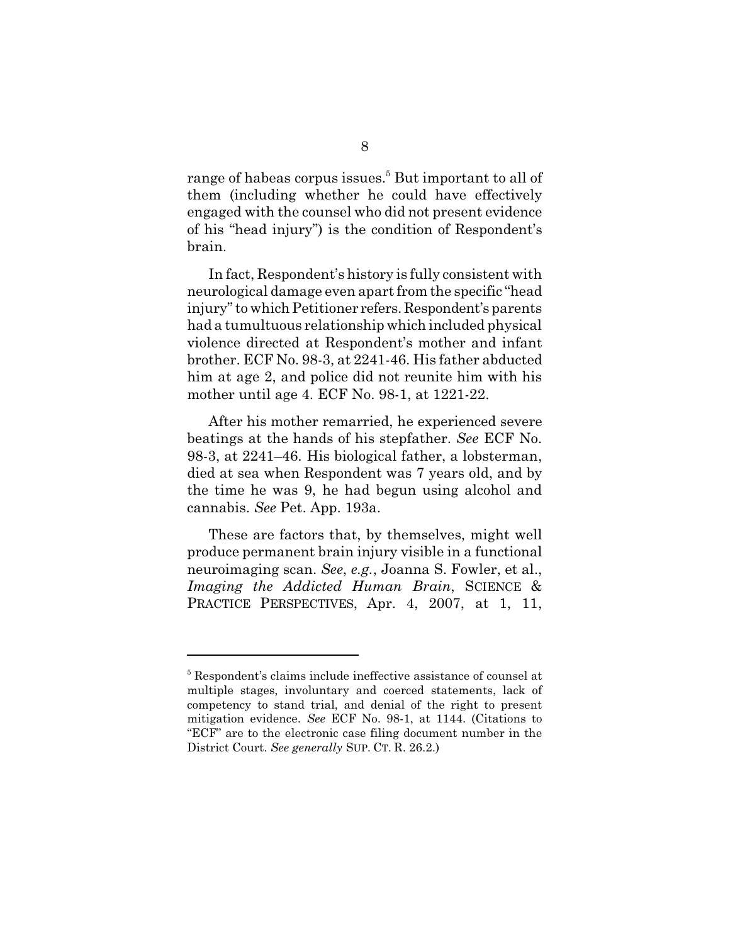range of habeas corpus issues.<sup>5</sup> But important to all of them (including whether he could have effectively engaged with the counsel who did not present evidence of his "head injury") is the condition of Respondent's brain.

In fact, Respondent's history is fully consistent with neurological damage even apart from the specific "head injury" to which Petitioner refers. Respondent's parents had a tumultuous relationship which included physical violence directed at Respondent's mother and infant brother. ECF No. 98-3, at 2241-46. His father abducted him at age 2, and police did not reunite him with his mother until age 4. ECF No. 98-1, at 1221-22.

After his mother remarried, he experienced severe beatings at the hands of his stepfather. *See* ECF No. 98-3, at 2241–46. His biological father, a lobsterman, died at sea when Respondent was 7 years old, and by the time he was 9, he had begun using alcohol and cannabis. *See* Pet. App. 193a.

These are factors that, by themselves, might well produce permanent brain injury visible in a functional neuroimaging scan. *See*, *e.g.*, Joanna S. Fowler, et al., *Imaging the Addicted Human Brain*, SCIENCE & PRACTICE PERSPECTIVES, Apr. 4, 2007, at 1, 11,

<sup>&</sup>lt;sup>5</sup> Respondent's claims include ineffective assistance of counsel at multiple stages, involuntary and coerced statements, lack of competency to stand trial, and denial of the right to present mitigation evidence. *See* ECF No. 98-1, at 1144. (Citations to "ECF" are to the electronic case filing document number in the District Court. *See generally* SUP. CT. R. 26.2.)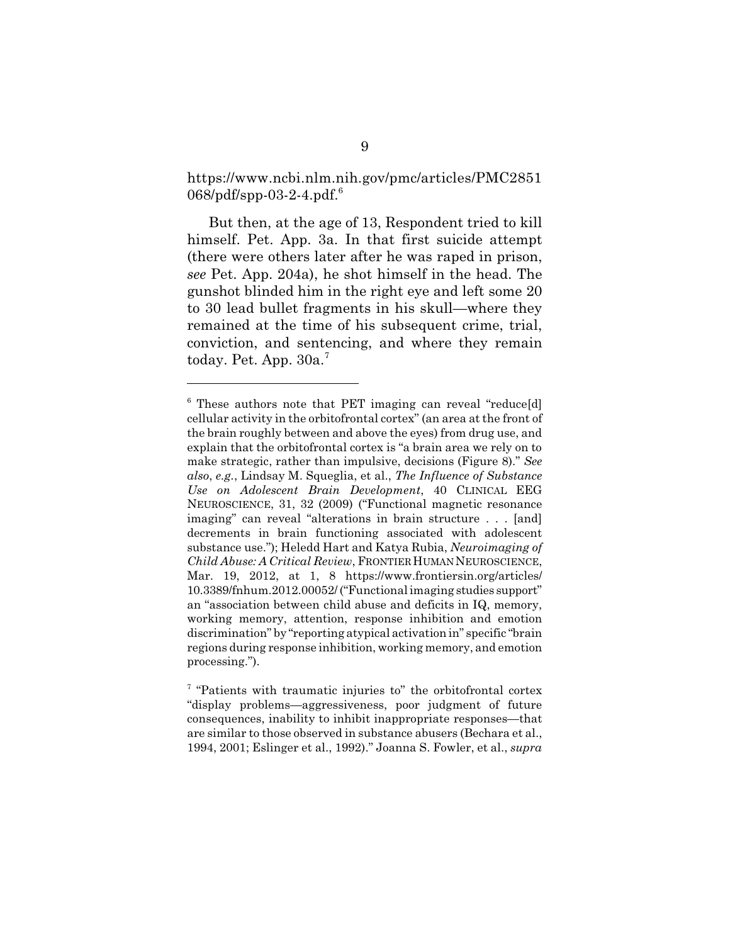https://www.ncbi.nlm.nih.gov/pmc/articles/PMC2851 068/pdf/spp-03-2-4.pdf.<sup>6</sup>

But then, at the age of 13, Respondent tried to kill himself. Pet. App. 3a. In that first suicide attempt (there were others later after he was raped in prison, *see* Pet. App. 204a), he shot himself in the head. The gunshot blinded him in the right eye and left some 20 to 30 lead bullet fragments in his skull—where they remained at the time of his subsequent crime, trial, conviction, and sentencing, and where they remain today. Pet. App. 30a.<sup>7</sup>

<sup>&</sup>lt;sup>6</sup> These authors note that PET imaging can reveal "reduce[d] cellular activity in the orbitofrontal cortex" (an area at the front of the brain roughly between and above the eyes) from drug use, and explain that the orbitofrontal cortex is "a brain area we rely on to make strategic, rather than impulsive, decisions (Figure 8)." *See also*, *e.g.*, Lindsay M. Squeglia, et al., *The Influence of Substance Use on Adolescent Brain Development*, 40 CLINICAL EEG NEUROSCIENCE, 31, 32 (2009) ("Functional magnetic resonance imaging" can reveal "alterations in brain structure . . . [and] decrements in brain functioning associated with adolescent substance use."); Heledd Hart and Katya Rubia, *Neuroimaging of Child Abuse: A Critical Review*, FRONTIER HUMAN NEUROSCIENCE, Mar. 19, 2012, at 1, 8 https://www.frontiersin.org/articles/ 10.3389/fnhum.2012.00052/ ("Functional imaging studies support" an "association between child abuse and deficits in IQ, memory, working memory, attention, response inhibition and emotion discrimination" by "reporting atypical activation in" specific "brain regions during response inhibition, working memory, and emotion processing.").

<sup>&</sup>lt;sup>7</sup> "Patients with traumatic injuries to" the orbitofrontal cortex "display problems—aggressiveness, poor judgment of future consequences, inability to inhibit inappropriate responses—that are similar to those observed in substance abusers (Bechara et al., 1994, 2001; Eslinger et al., 1992)." Joanna S. Fowler, et al., *supra*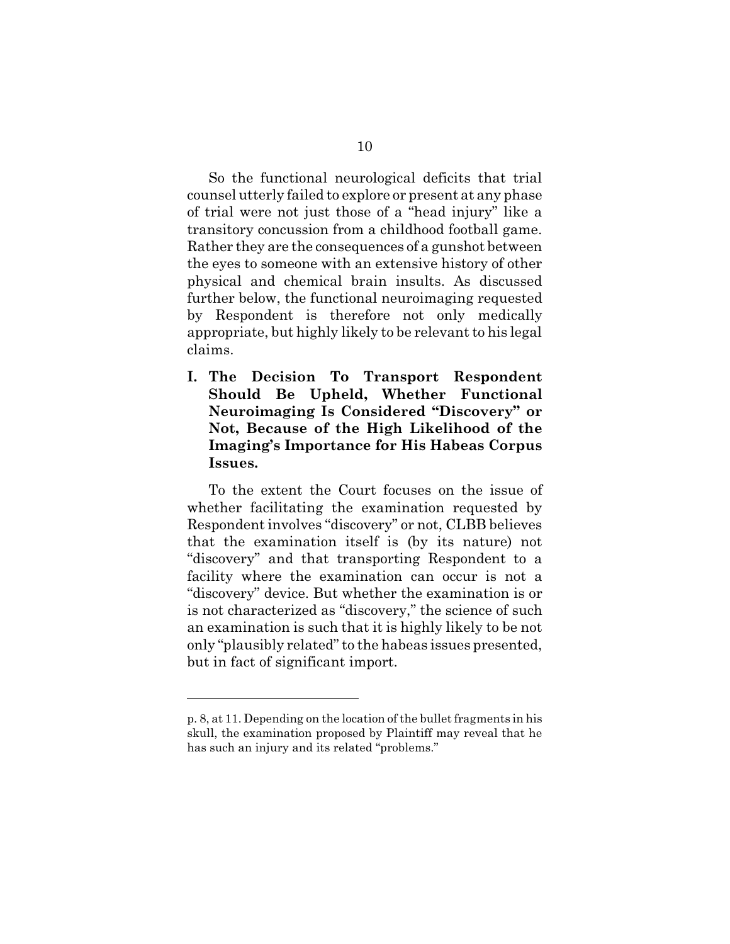So the functional neurological deficits that trial counsel utterly failed to explore or present at any phase of trial were not just those of a "head injury" like a transitory concussion from a childhood football game. Rather they are the consequences of a gunshot between the eyes to someone with an extensive history of other physical and chemical brain insults. As discussed further below, the functional neuroimaging requested by Respondent is therefore not only medically appropriate, but highly likely to be relevant to his legal claims.

**I. The Decision To Transport Respondent Should Be Upheld, Whether Functional Neuroimaging Is Considered "Discovery" or Not, Because of the High Likelihood of the Imaging's Importance for His Habeas Corpus Issues.**

To the extent the Court focuses on the issue of whether facilitating the examination requested by Respondent involves "discovery" or not, CLBB believes that the examination itself is (by its nature) not "discovery" and that transporting Respondent to a facility where the examination can occur is not a "discovery" device. But whether the examination is or is not characterized as "discovery," the science of such an examination is such that it is highly likely to be not only "plausibly related" to the habeas issues presented, but in fact of significant import.

p. 8, at 11. Depending on the location of the bullet fragments in his skull, the examination proposed by Plaintiff may reveal that he has such an injury and its related "problems."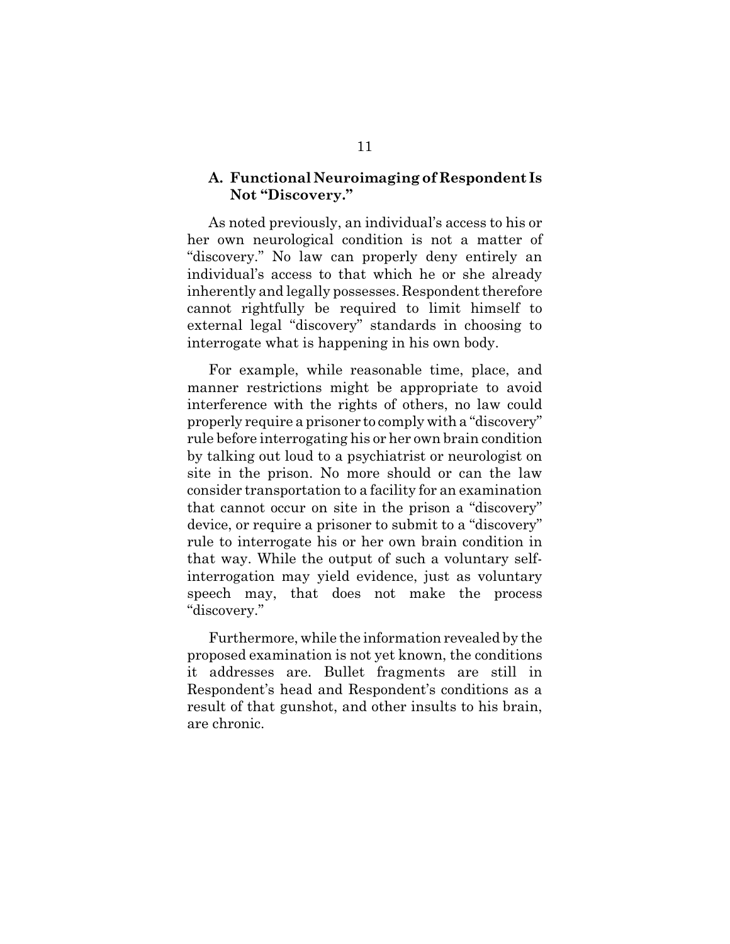#### **A. Functional Neuroimaging of Respondent Is Not "Discovery."**

As noted previously, an individual's access to his or her own neurological condition is not a matter of "discovery." No law can properly deny entirely an individual's access to that which he or she already inherently and legally possesses. Respondent therefore cannot rightfully be required to limit himself to external legal "discovery" standards in choosing to interrogate what is happening in his own body.

For example, while reasonable time, place, and manner restrictions might be appropriate to avoid interference with the rights of others, no law could properly require a prisoner to comply with a "discovery" rule before interrogating his or her own brain condition by talking out loud to a psychiatrist or neurologist on site in the prison. No more should or can the law consider transportation to a facility for an examination that cannot occur on site in the prison a "discovery" device, or require a prisoner to submit to a "discovery" rule to interrogate his or her own brain condition in that way. While the output of such a voluntary selfinterrogation may yield evidence, just as voluntary speech may, that does not make the process "discovery."

Furthermore, while the information revealed by the proposed examination is not yet known, the conditions it addresses are. Bullet fragments are still in Respondent's head and Respondent's conditions as a result of that gunshot, and other insults to his brain, are chronic.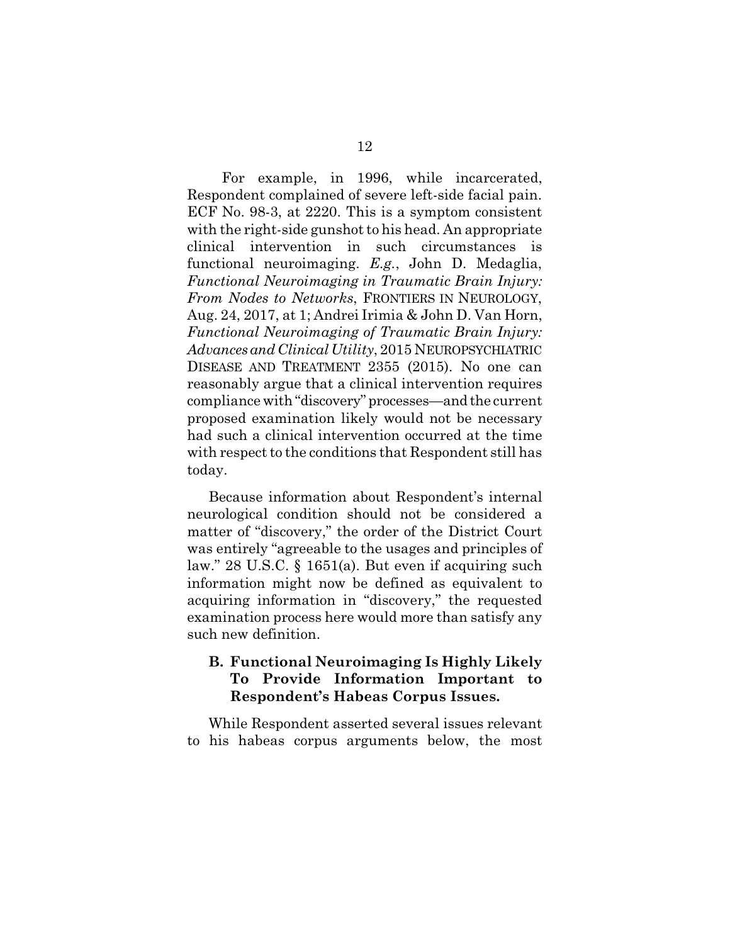For example, in 1996, while incarcerated, Respondent complained of severe left-side facial pain. ECF No. 98-3, at 2220. This is a symptom consistent with the right-side gunshot to his head. An appropriate clinical intervention in such circumstances is functional neuroimaging. *E.g.*, John D. Medaglia, *Functional Neuroimaging in Traumatic Brain Injury: From Nodes to Networks*, FRONTIERS IN NEUROLOGY, Aug. 24, 2017, at 1; Andrei Irimia & John D. Van Horn, *Functional Neuroimaging of Traumatic Brain Injury: Advances and Clinical Utility*, 2015 NEUROPSYCHIATRIC DISEASE AND TREATMENT 2355 (2015). No one can reasonably argue that a clinical intervention requires compliance with "discovery" processes—and the current proposed examination likely would not be necessary had such a clinical intervention occurred at the time with respect to the conditions that Respondent still has today.

Because information about Respondent's internal neurological condition should not be considered a matter of "discovery," the order of the District Court was entirely "agreeable to the usages and principles of law." 28 U.S.C. § 1651(a). But even if acquiring such information might now be defined as equivalent to acquiring information in "discovery," the requested examination process here would more than satisfy any such new definition.

### **B. Functional Neuroimaging Is Highly Likely To Provide Information Important to Respondent's Habeas Corpus Issues.**

While Respondent asserted several issues relevant to his habeas corpus arguments below, the most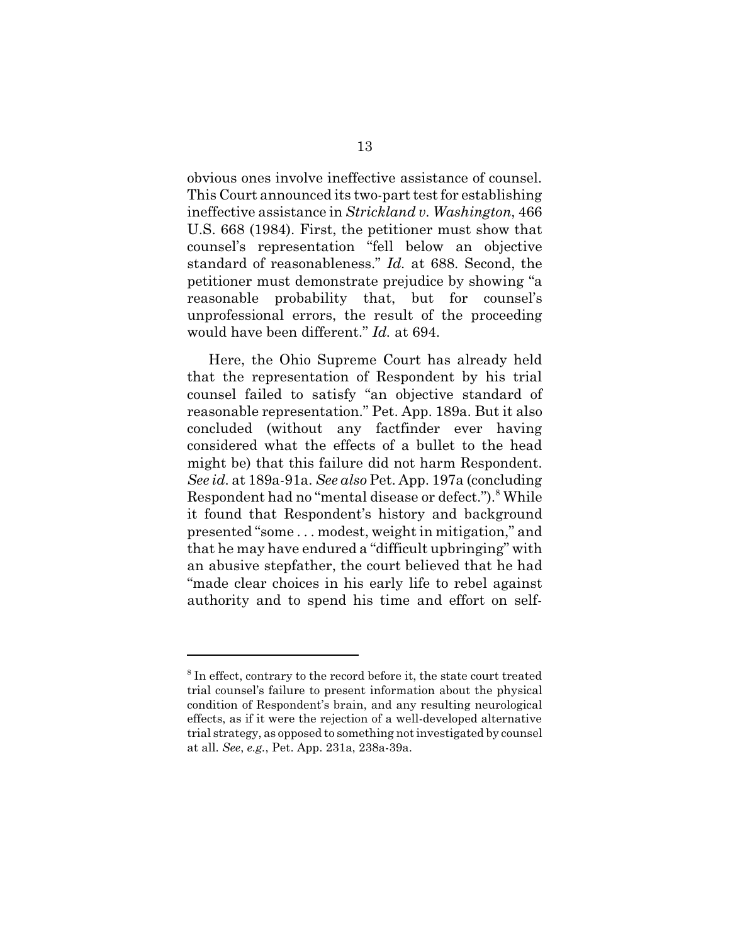obvious ones involve ineffective assistance of counsel. This Court announced its two-part test for establishing ineffective assistance in *Strickland v. Washington*, 466 U.S. 668 (1984). First, the petitioner must show that counsel's representation "fell below an objective standard of reasonableness." *Id.* at 688. Second, the petitioner must demonstrate prejudice by showing "a reasonable probability that, but for counsel's unprofessional errors, the result of the proceeding would have been different." *Id.* at 694.

Here, the Ohio Supreme Court has already held that the representation of Respondent by his trial counsel failed to satisfy "an objective standard of reasonable representation." Pet. App. 189a. But it also concluded (without any factfinder ever having considered what the effects of a bullet to the head might be) that this failure did not harm Respondent. *See id.* at 189a-91a. *See also* Pet. App. 197a (concluding Respondent had no "mental disease or defect.").<sup>8</sup> While it found that Respondent's history and background presented "some . . . modest, weight in mitigation," and that he may have endured a "difficult upbringing" with an abusive stepfather, the court believed that he had "made clear choices in his early life to rebel against authority and to spend his time and effort on self-

<sup>&</sup>lt;sup>8</sup> In effect, contrary to the record before it, the state court treated trial counsel's failure to present information about the physical condition of Respondent's brain, and any resulting neurological effects, as if it were the rejection of a well-developed alternative trial strategy, as opposed to something not investigated by counsel at all. *See*, *e.g.*, Pet. App. 231a, 238a-39a.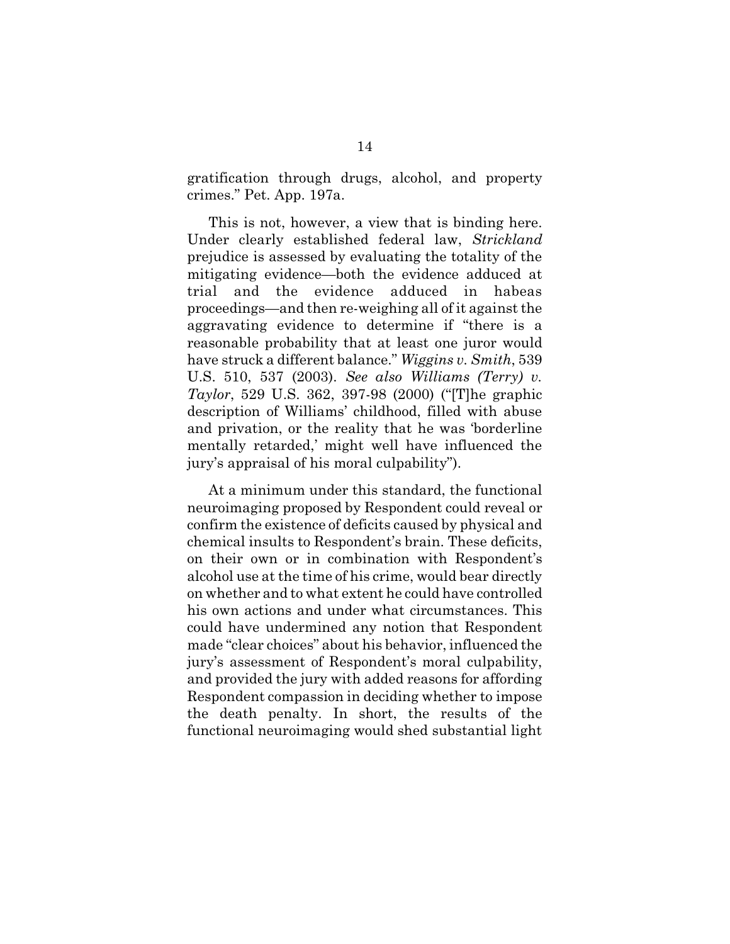gratification through drugs, alcohol, and property crimes." Pet. App. 197a.

This is not, however, a view that is binding here. Under clearly established federal law, *Strickland* prejudice is assessed by evaluating the totality of the mitigating evidence—both the evidence adduced at trial and the evidence adduced in habeas proceedings—and then re-weighing all of it against the aggravating evidence to determine if "there is a reasonable probability that at least one juror would have struck a different balance." *Wiggins v. Smith*, 539 U.S. 510, 537 (2003). *See also Williams (Terry) v. Taylor*, 529 U.S. 362, 397-98 (2000) ("[T]he graphic description of Williams' childhood, filled with abuse and privation, or the reality that he was 'borderline mentally retarded,' might well have influenced the jury's appraisal of his moral culpability").

At a minimum under this standard, the functional neuroimaging proposed by Respondent could reveal or confirm the existence of deficits caused by physical and chemical insults to Respondent's brain. These deficits, on their own or in combination with Respondent's alcohol use at the time of his crime, would bear directly on whether and to what extent he could have controlled his own actions and under what circumstances. This could have undermined any notion that Respondent made "clear choices" about his behavior, influenced the jury's assessment of Respondent's moral culpability, and provided the jury with added reasons for affording Respondent compassion in deciding whether to impose the death penalty. In short, the results of the functional neuroimaging would shed substantial light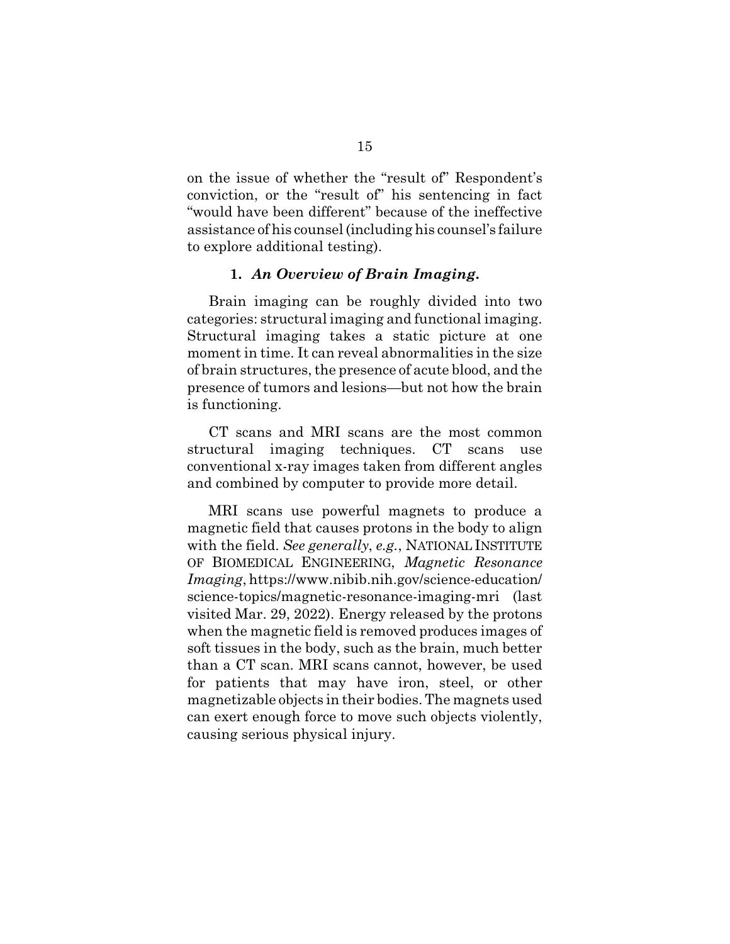on the issue of whether the "result of" Respondent's conviction, or the "result of" his sentencing in fact "would have been different" because of the ineffective assistance of his counsel (including his counsel's failure to explore additional testing).

#### **1.** *An Overview of Brain Imaging***.**

Brain imaging can be roughly divided into two categories: structural imaging and functional imaging. Structural imaging takes a static picture at one moment in time. It can reveal abnormalities in the size of brain structures, the presence of acute blood, and the presence of tumors and lesions—but not how the brain is functioning.

CT scans and MRI scans are the most common structural imaging techniques. CT scans use conventional x-ray images taken from different angles and combined by computer to provide more detail.

MRI scans use powerful magnets to produce a magnetic field that causes protons in the body to align with the field. *See generally*, *e.g.*, NATIONAL INSTITUTE OF BIOMEDICAL ENGINEERING, *Magnetic Resonance Imaging*, https://www.nibib.nih.gov/science-education/ science-topics/magnetic-resonance-imaging-mri (last visited Mar. 29, 2022). Energy released by the protons when the magnetic field is removed produces images of soft tissues in the body, such as the brain, much better than a CT scan. MRI scans cannot, however, be used for patients that may have iron, steel, or other magnetizable objects in their bodies. The magnets used can exert enough force to move such objects violently, causing serious physical injury.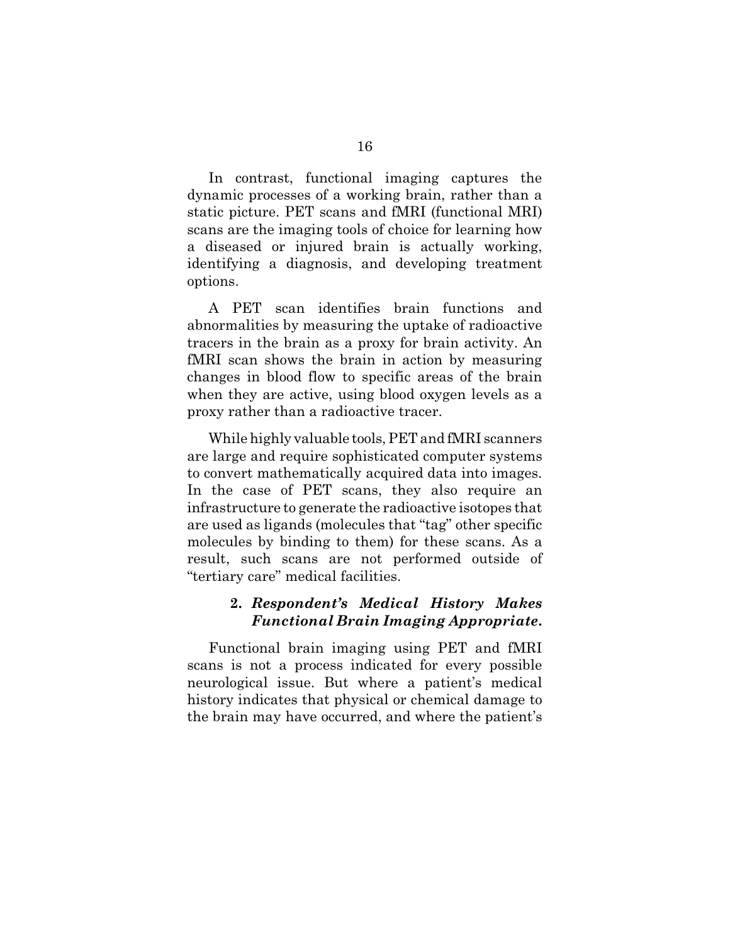In contrast, functional imaging captures the dynamic processes of a working brain, rather than a static picture. PET scans and fMRI (functional MRI) scans are the imaging tools of choice for learning how a diseased or injured brain is actually working, identifying a diagnosis, and developing treatment options.

A PET scan identifies brain functions and abnormalities by measuring the uptake of radioactive tracers in the brain as a proxy for brain activity. An fMRI scan shows the brain in action by measuring changes in blood flow to specific areas of the brain when they are active, using blood oxygen levels as a proxy rather than a radioactive tracer.

While highly valuable tools, PET and fMRI scanners are large and require sophisticated computer systems to convert mathematically acquired data into images. In the case of PET scans, they also require an infrastructure to generate the radioactive isotopes that are used as ligands (molecules that "tag" other specific molecules by binding to them) for these scans. As a result, such scans are not performed outside of "tertiary care" medical facilities.

#### **2.** *Respondent's Medical History Makes Functional Brain Imaging Appropriate***.**

Functional brain imaging using PET and fMRI scans is not a process indicated for every possible neurological issue. But where a patient's medical history indicates that physical or chemical damage to the brain may have occurred, and where the patient's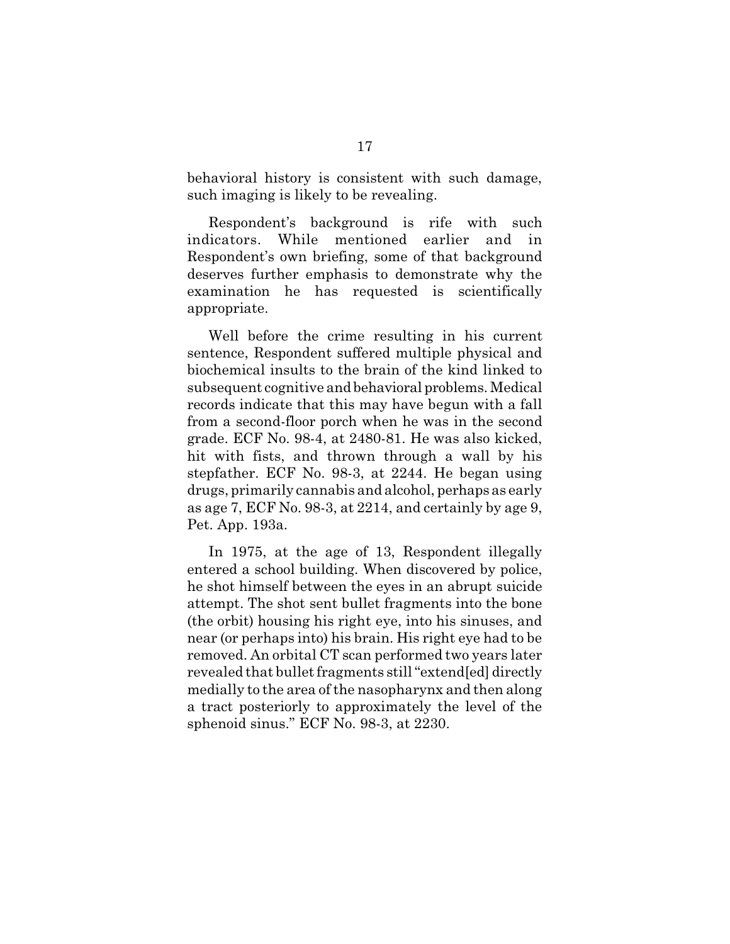behavioral history is consistent with such damage, such imaging is likely to be revealing.

Respondent's background is rife with such indicators. While mentioned earlier and in Respondent's own briefing, some of that background deserves further emphasis to demonstrate why the examination he has requested is scientifically appropriate.

Well before the crime resulting in his current sentence, Respondent suffered multiple physical and biochemical insults to the brain of the kind linked to subsequent cognitive and behavioral problems. Medical records indicate that this may have begun with a fall from a second-floor porch when he was in the second grade. ECF No. 98-4, at 2480-81. He was also kicked, hit with fists, and thrown through a wall by his stepfather. ECF No. 98-3, at 2244. He began using drugs, primarily cannabis and alcohol, perhaps as early as age 7, ECF No. 98-3, at 2214, and certainly by age 9, Pet. App. 193a.

In 1975, at the age of 13, Respondent illegally entered a school building. When discovered by police, he shot himself between the eyes in an abrupt suicide attempt. The shot sent bullet fragments into the bone (the orbit) housing his right eye, into his sinuses, and near (or perhaps into) his brain. His right eye had to be removed. An orbital CT scan performed two years later revealed that bullet fragments still "extend[ed] directly medially to the area of the nasopharynx and then along a tract posteriorly to approximately the level of the sphenoid sinus." ECF No. 98-3, at 2230.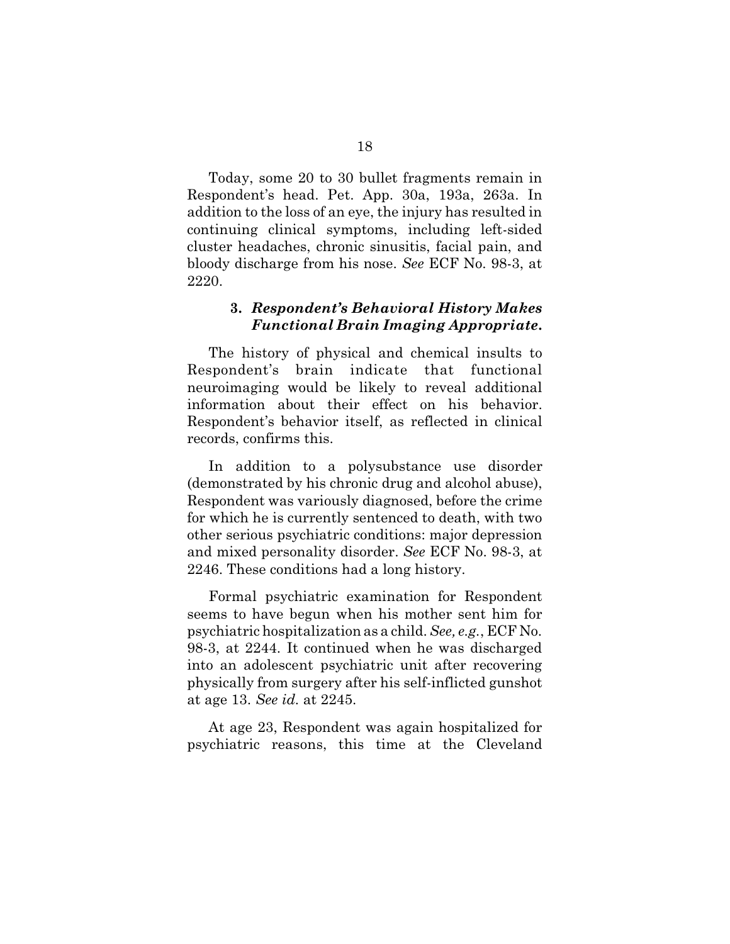Today, some 20 to 30 bullet fragments remain in Respondent's head. Pet. App. 30a, 193a, 263a. In addition to the loss of an eye, the injury has resulted in continuing clinical symptoms, including left-sided cluster headaches, chronic sinusitis, facial pain, and bloody discharge from his nose. *See* ECF No. 98-3, at 2220.

#### **3.** *Respondent's Behavioral History Makes Functional Brain Imaging Appropriate***.**

The history of physical and chemical insults to Respondent's brain indicate that functional neuroimaging would be likely to reveal additional information about their effect on his behavior. Respondent's behavior itself, as reflected in clinical records, confirms this.

In addition to a polysubstance use disorder (demonstrated by his chronic drug and alcohol abuse), Respondent was variously diagnosed, before the crime for which he is currently sentenced to death, with two other serious psychiatric conditions: major depression and mixed personality disorder. *See* ECF No. 98-3, at 2246. These conditions had a long history.

Formal psychiatric examination for Respondent seems to have begun when his mother sent him for psychiatric hospitalization as a child. *See, e.g.*, ECF No. 98-3, at 2244. It continued when he was discharged into an adolescent psychiatric unit after recovering physically from surgery after his self-inflicted gunshot at age 13. *See id.* at 2245.

At age 23, Respondent was again hospitalized for psychiatric reasons, this time at the Cleveland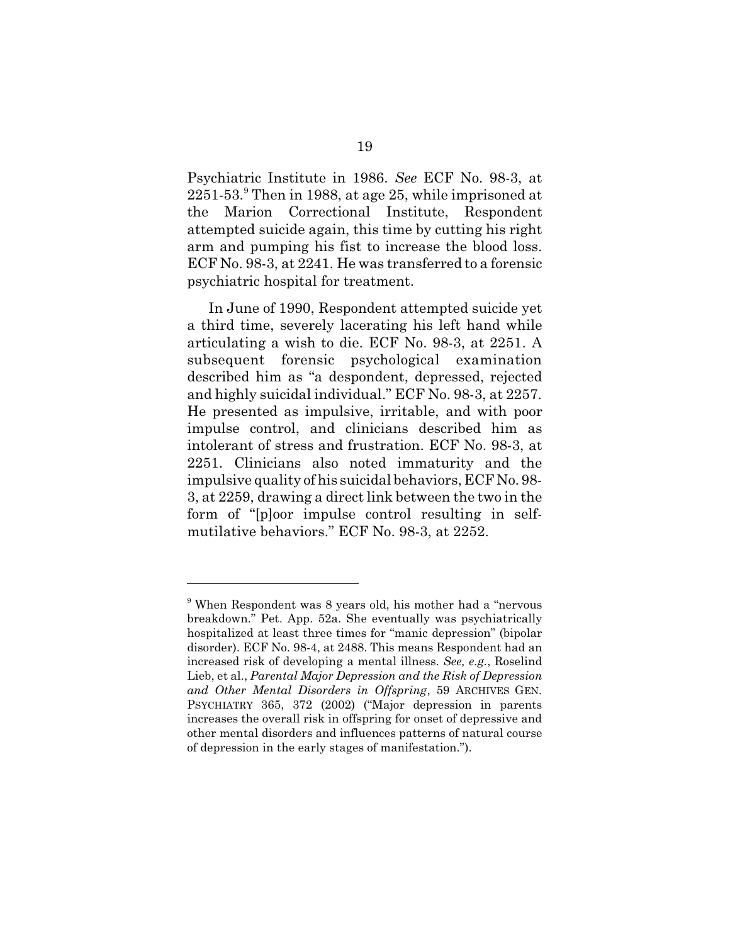Psychiatric Institute in 1986. *See* ECF No. 98-3, at 2251-53.<sup>9</sup> Then in 1988, at age 25, while imprisoned at the Marion Correctional Institute, Respondent attempted suicide again, this time by cutting his right arm and pumping his fist to increase the blood loss. ECF No. 98-3, at 2241. He was transferred to a forensic psychiatric hospital for treatment.

In June of 1990, Respondent attempted suicide yet a third time, severely lacerating his left hand while articulating a wish to die. ECF No. 98-3, at 2251. A subsequent forensic psychological examination described him as "a despondent, depressed, rejected and highly suicidal individual." ECF No. 98-3, at 2257. He presented as impulsive, irritable, and with poor impulse control, and clinicians described him as intolerant of stress and frustration. ECF No. 98-3, at 2251. Clinicians also noted immaturity and the impulsive quality of his suicidal behaviors, ECF No. 98- 3, at 2259, drawing a direct link between the two in the form of "[p]oor impulse control resulting in selfmutilative behaviors." ECF No. 98-3, at 2252.

<sup>&</sup>lt;sup>9</sup> When Respondent was 8 years old, his mother had a "nervous breakdown." Pet. App. 52a. She eventually was psychiatrically hospitalized at least three times for "manic depression" (bipolar disorder). ECF No. 98-4, at 2488. This means Respondent had an increased risk of developing a mental illness. *See, e.g.*, Roselind Lieb, et al., *Parental Major Depression and the Risk of Depression and Other Mental Disorders in Offspring*, 59 ARCHIVES GEN. PSYCHIATRY 365, 372 (2002) ("Major depression in parents increases the overall risk in offspring for onset of depressive and other mental disorders and influences patterns of natural course of depression in the early stages of manifestation.").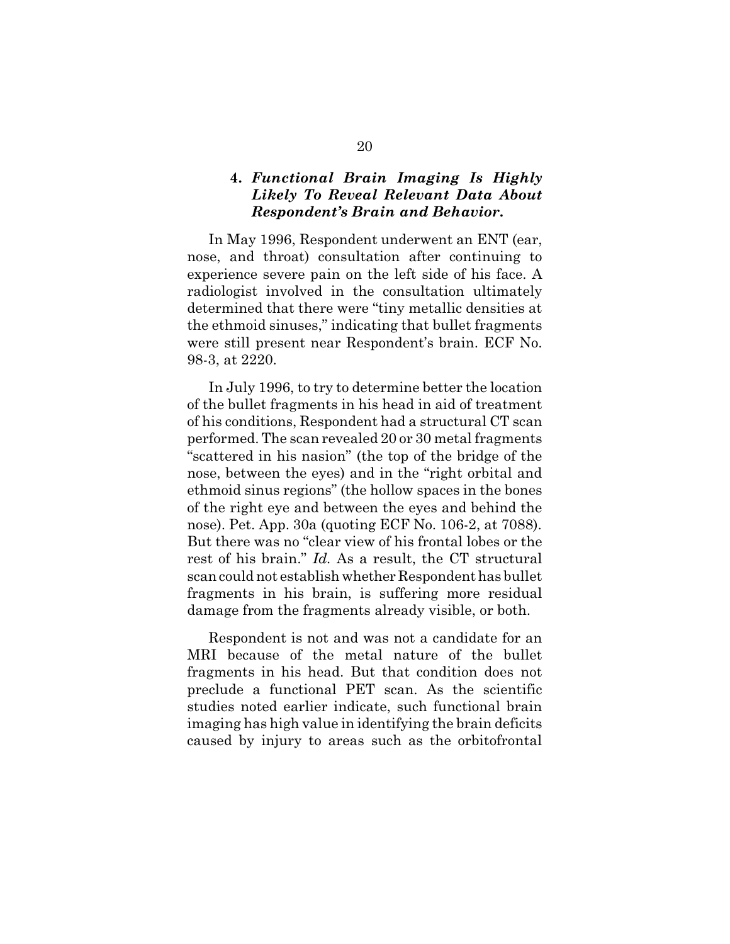### **4.** *Functional Brain Imaging Is Highly Likely To Reveal Relevant Data About Respondent's Brain and Behavior***.**

In May 1996, Respondent underwent an ENT (ear, nose, and throat) consultation after continuing to experience severe pain on the left side of his face. A radiologist involved in the consultation ultimately determined that there were "tiny metallic densities at the ethmoid sinuses," indicating that bullet fragments were still present near Respondent's brain. ECF No. 98-3, at 2220.

In July 1996, to try to determine better the location of the bullet fragments in his head in aid of treatment of his conditions, Respondent had a structural CT scan performed. The scan revealed 20 or 30 metal fragments "scattered in his nasion" (the top of the bridge of the nose, between the eyes) and in the "right orbital and ethmoid sinus regions" (the hollow spaces in the bones of the right eye and between the eyes and behind the nose). Pet. App. 30a (quoting ECF No. 106-2, at 7088). But there was no "clear view of his frontal lobes or the rest of his brain." *Id.* As a result, the CT structural scan could not establish whether Respondent has bullet fragments in his brain, is suffering more residual damage from the fragments already visible, or both.

Respondent is not and was not a candidate for an MRI because of the metal nature of the bullet fragments in his head. But that condition does not preclude a functional PET scan. As the scientific studies noted earlier indicate, such functional brain imaging has high value in identifying the brain deficits caused by injury to areas such as the orbitofrontal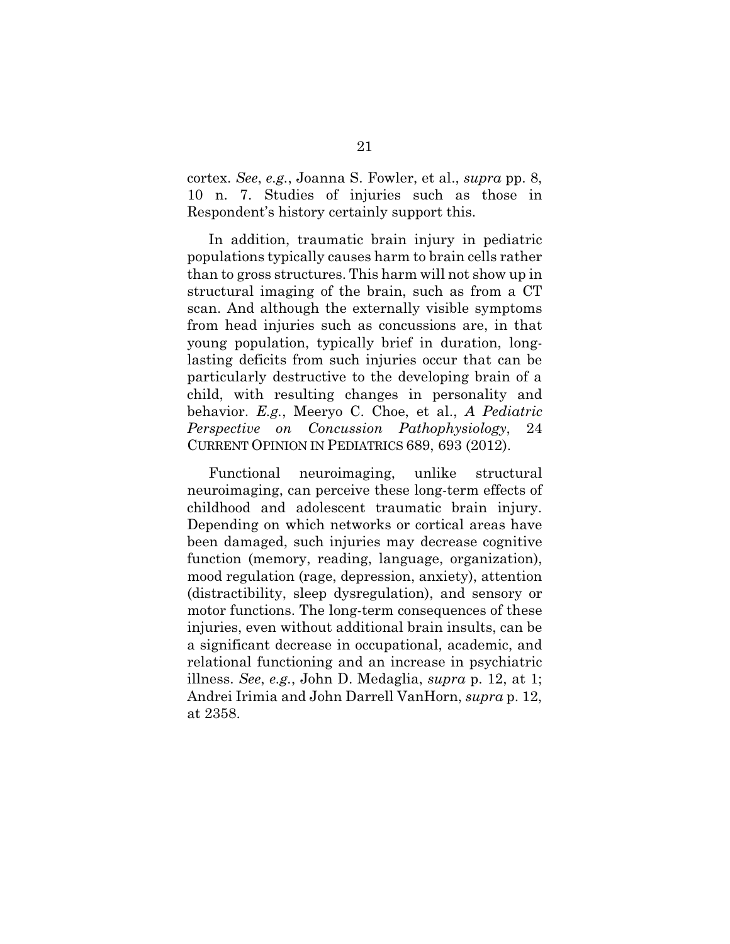cortex. *See*, *e.g.*, Joanna S. Fowler, et al., *supra* pp. 8, 10 n. 7. Studies of injuries such as those in Respondent's history certainly support this.

In addition, traumatic brain injury in pediatric populations typically causes harm to brain cells rather than to gross structures. This harm will not show up in structural imaging of the brain, such as from a CT scan. And although the externally visible symptoms from head injuries such as concussions are, in that young population, typically brief in duration, longlasting deficits from such injuries occur that can be particularly destructive to the developing brain of a child, with resulting changes in personality and behavior. *E.g.*, Meeryo C. Choe, et al., *A Pediatric Perspective on Concussion Pathophysiology*, 24 CURRENT OPINION IN PEDIATRICS 689, 693 (2012).

Functional neuroimaging, unlike structural neuroimaging, can perceive these long-term effects of childhood and adolescent traumatic brain injury. Depending on which networks or cortical areas have been damaged, such injuries may decrease cognitive function (memory, reading, language, organization), mood regulation (rage, depression, anxiety), attention (distractibility, sleep dysregulation), and sensory or motor functions. The long-term consequences of these injuries, even without additional brain insults, can be a significant decrease in occupational, academic, and relational functioning and an increase in psychiatric illness. *See*, *e.g.*, John D. Medaglia, *supra* p. 12, at 1; Andrei Irimia and John Darrell VanHorn, *supra* p. 12, at 2358.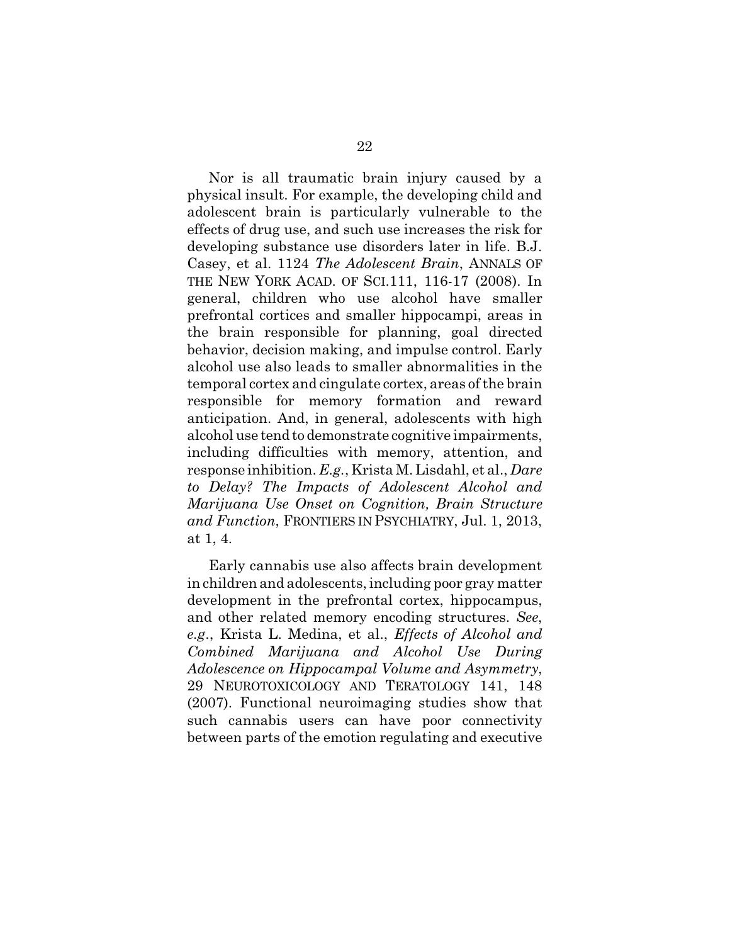Nor is all traumatic brain injury caused by a physical insult. For example, the developing child and adolescent brain is particularly vulnerable to the effects of drug use, and such use increases the risk for developing substance use disorders later in life. B.J. Casey, et al. 1124 *The Adolescent Brain*, ANNALS OF THE NEW YORK ACAD. OF SCI.111, 116-17 (2008). In general, children who use alcohol have smaller prefrontal cortices and smaller hippocampi, areas in the brain responsible for planning, goal directed behavior, decision making, and impulse control. Early alcohol use also leads to smaller abnormalities in the temporal cortex and cingulate cortex, areas of the brain responsible for memory formation and reward anticipation. And, in general, adolescents with high alcohol use tend to demonstrate cognitive impairments, including difficulties with memory, attention, and response inhibition. *E.g.*, Krista M. Lisdahl, et al., *Dare to Delay? The Impacts of Adolescent Alcohol and Marijuana Use Onset on Cognition, Brain Structure and Function*, FRONTIERS IN PSYCHIATRY, Jul. 1, 2013, at 1, 4.

Early cannabis use also affects brain development in children and adolescents, including poor gray matter development in the prefrontal cortex, hippocampus, and other related memory encoding structures. *See*, *e.g*., Krista L. Medina, et al., *Effects of Alcohol and Combined Marijuana and Alcohol Use During Adolescence on Hippocampal Volume and Asymmetry*, 29 NEUROTOXICOLOGY AND TERATOLOGY 141, 148 (2007). Functional neuroimaging studies show that such cannabis users can have poor connectivity between parts of the emotion regulating and executive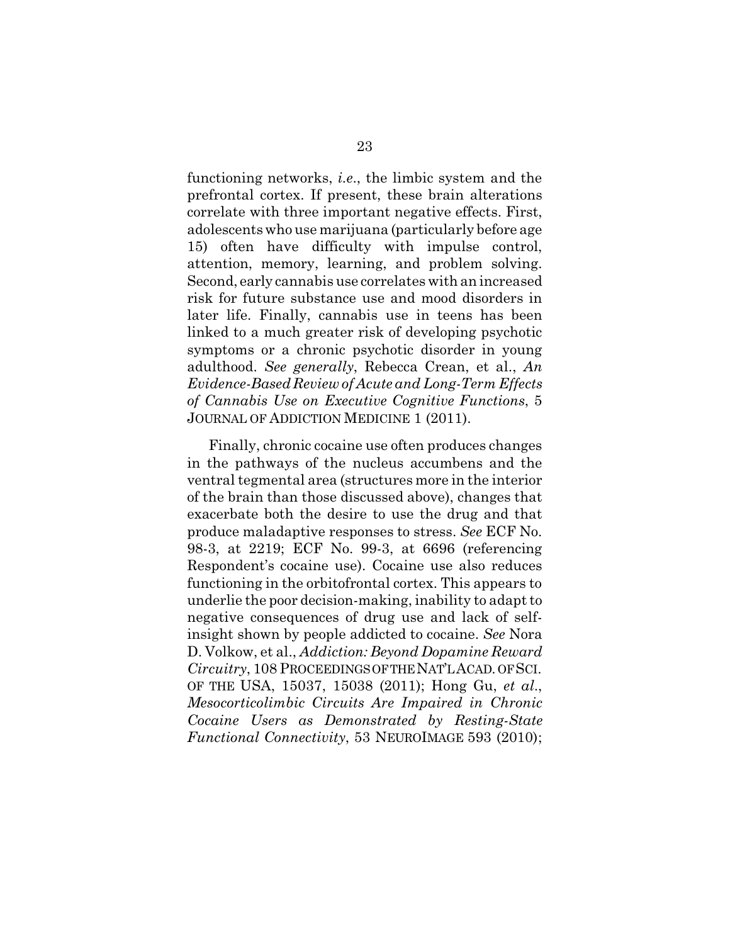functioning networks, *i.e*., the limbic system and the prefrontal cortex. If present, these brain alterations correlate with three important negative effects. First, adolescents who use marijuana (particularly before age 15) often have difficulty with impulse control, attention, memory, learning, and problem solving. Second, early cannabis use correlates with an increased risk for future substance use and mood disorders in later life. Finally, cannabis use in teens has been linked to a much greater risk of developing psychotic symptoms or a chronic psychotic disorder in young adulthood. *See generally*, Rebecca Crean, et al., *An Evidence-Based Review of Acute and Long-Term Effects of Cannabis Use on Executive Cognitive Functions*, 5 JOURNAL OF ADDICTION MEDICINE 1 (2011).

Finally, chronic cocaine use often produces changes in the pathways of the nucleus accumbens and the ventral tegmental area (structures more in the interior of the brain than those discussed above), changes that exacerbate both the desire to use the drug and that produce maladaptive responses to stress. *See* ECF No. 98-3, at 2219; ECF No. 99-3, at 6696 (referencing Respondent's cocaine use). Cocaine use also reduces functioning in the orbitofrontal cortex. This appears to underlie the poor decision-making, inability to adapt to negative consequences of drug use and lack of selfinsight shown by people addicted to cocaine. *See* Nora D. Volkow, et al., *Addiction: Beyond Dopamine Reward Circuitry*, 108 PROCEEDINGS OF THE NAT'L ACAD. OF SCI. OF THE USA, 15037, 15038 (2011); Hong Gu, *et al*., *Mesocorticolimbic Circuits Are Impaired in Chronic Cocaine Users as Demonstrated by Resting-State Functional Connectivity*, 53 NEUROIMAGE 593 (2010);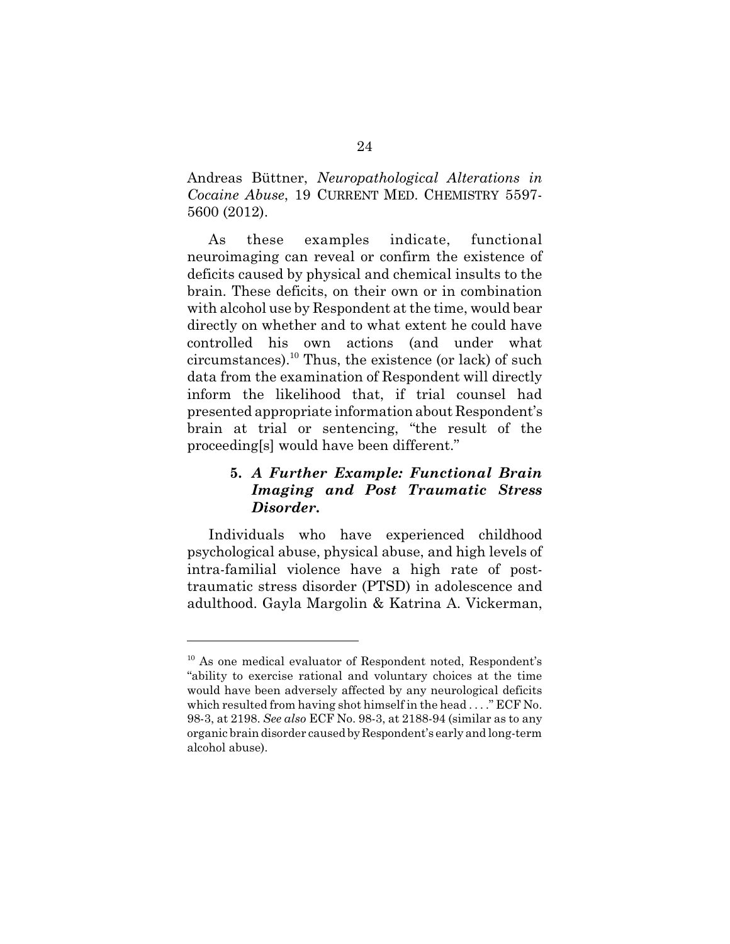Andreas Büttner, *Neuropathological Alterations in Cocaine Abuse*, 19 CURRENT MED. CHEMISTRY 5597- 5600 (2012).

As these examples indicate, functional neuroimaging can reveal or confirm the existence of deficits caused by physical and chemical insults to the brain. These deficits, on their own or in combination with alcohol use by Respondent at the time, would bear directly on whether and to what extent he could have controlled his own actions (and under what circumstances).<sup>10</sup> Thus, the existence (or lack) of such data from the examination of Respondent will directly inform the likelihood that, if trial counsel had presented appropriate information about Respondent's brain at trial or sentencing, "the result of the proceeding[s] would have been different."

## **5.** *A Further Example: Functional Brain Imaging and Post Traumatic Stress Disorder***.**

Individuals who have experienced childhood psychological abuse, physical abuse, and high levels of intra-familial violence have a high rate of posttraumatic stress disorder (PTSD) in adolescence and adulthood. Gayla Margolin & Katrina A. Vickerman,

<sup>&</sup>lt;sup>10</sup> As one medical evaluator of Respondent noted, Respondent's "ability to exercise rational and voluntary choices at the time would have been adversely affected by any neurological deficits which resulted from having shot himself in the head . . . ." ECF No. 98-3, at 2198. *See also* ECF No. 98-3, at 2188-94 (similar as to any organic brain disorder caused by Respondent's early and long-term alcohol abuse).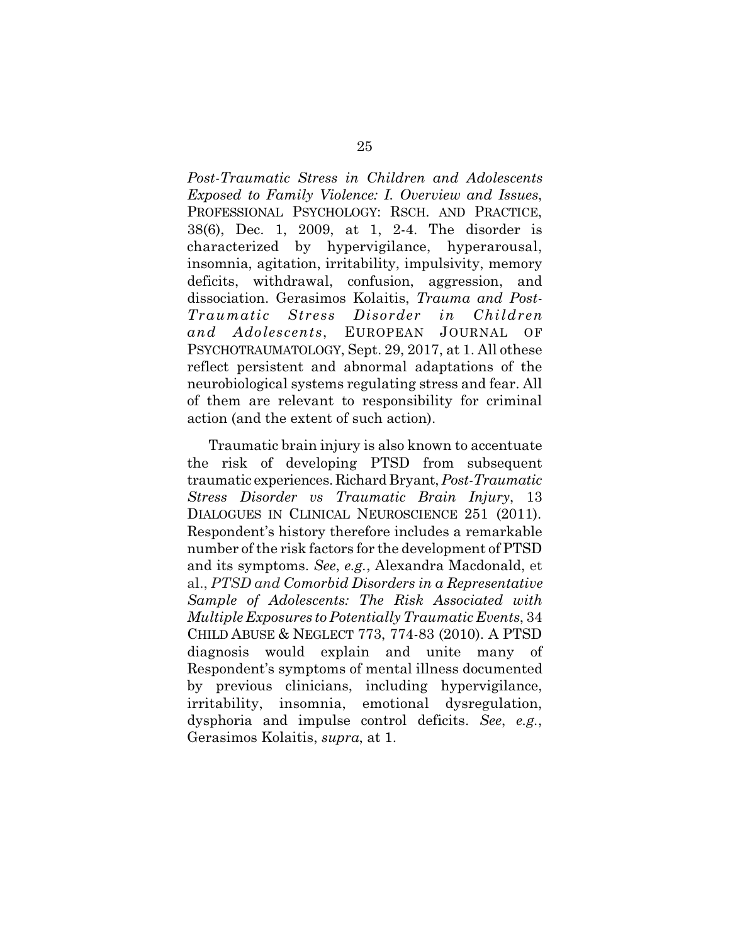*Post-Traumatic Stress in Children and Adolescents Exposed to Family Violence: I. Overview and Issues*, PROFESSIONAL PSYCHOLOGY: RSCH. AND PRACTICE, 38(6), Dec. 1, 2009, at 1, 2-4. The disorder is characterized by hypervigilance, hyperarousal, insomnia, agitation, irritability, impulsivity, memory deficits, withdrawal, confusion, aggression, and dissociation. Gerasimos Kolaitis, *Trauma and Post-Traumatic Stress Disorder in Children and Adolescents*, EUROPEAN JOURNAL OF PSYCHOTRAUMATOLOGY, Sept. 29, 2017, at 1. All othese reflect persistent and abnormal adaptations of the neurobiological systems regulating stress and fear. All of them are relevant to responsibility for criminal action (and the extent of such action).

Traumatic brain injury is also known to accentuate the risk of developing PTSD from subsequent traumatic experiences. Richard Bryant, *Post-Traumatic Stress Disorder vs Traumatic Brain Injury*, 13 DIALOGUES IN CLINICAL NEUROSCIENCE 251 (2011). Respondent's history therefore includes a remarkable number of the risk factors for the development of PTSD and its symptoms. *See*, *e.g.*, Alexandra Macdonald, et al., *PTSD and Comorbid Disorders in a Representative Sample of Adolescents: The Risk Associated with Multiple Exposures to Potentially Traumatic Events*, 34 CHILD ABUSE & NEGLECT 773, 774-83 (2010). A PTSD diagnosis would explain and unite many of Respondent's symptoms of mental illness documented by previous clinicians, including hypervigilance, irritability, insomnia, emotional dysregulation, dysphoria and impulse control deficits. *See*, *e.g.*, Gerasimos Kolaitis, *supra*, at 1.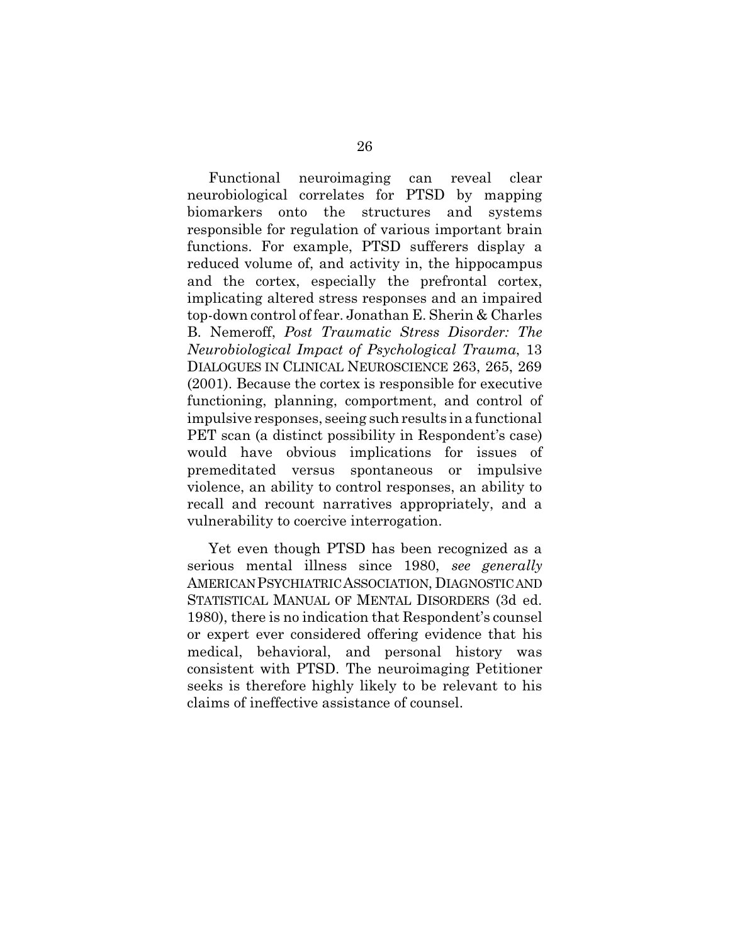Functional neuroimaging can reveal clear neurobiological correlates for PTSD by mapping biomarkers onto the structures and systems responsible for regulation of various important brain functions. For example, PTSD sufferers display a reduced volume of, and activity in, the hippocampus and the cortex, especially the prefrontal cortex, implicating altered stress responses and an impaired top-down control of fear. Jonathan E. Sherin & Charles B. Nemeroff, *Post Traumatic Stress Disorder: The Neurobiological Impact of Psychological Trauma*, 13 DIALOGUES IN CLINICAL NEUROSCIENCE 263, 265, 269 (2001). Because the cortex is responsible for executive functioning, planning, comportment, and control of impulsive responses, seeing such results in a functional PET scan (a distinct possibility in Respondent's case) would have obvious implications for issues of premeditated versus spontaneous or impulsive violence, an ability to control responses, an ability to recall and recount narratives appropriately, and a vulnerability to coercive interrogation.

Yet even though PTSD has been recognized as a serious mental illness since 1980, *see generally* AMERICAN PSYCHIATRIC ASSOCIATION, DIAGNOSTIC AND STATISTICAL MANUAL OF MENTAL DISORDERS (3d ed. 1980), there is no indication that Respondent's counsel or expert ever considered offering evidence that his medical, behavioral, and personal history was consistent with PTSD. The neuroimaging Petitioner seeks is therefore highly likely to be relevant to his claims of ineffective assistance of counsel.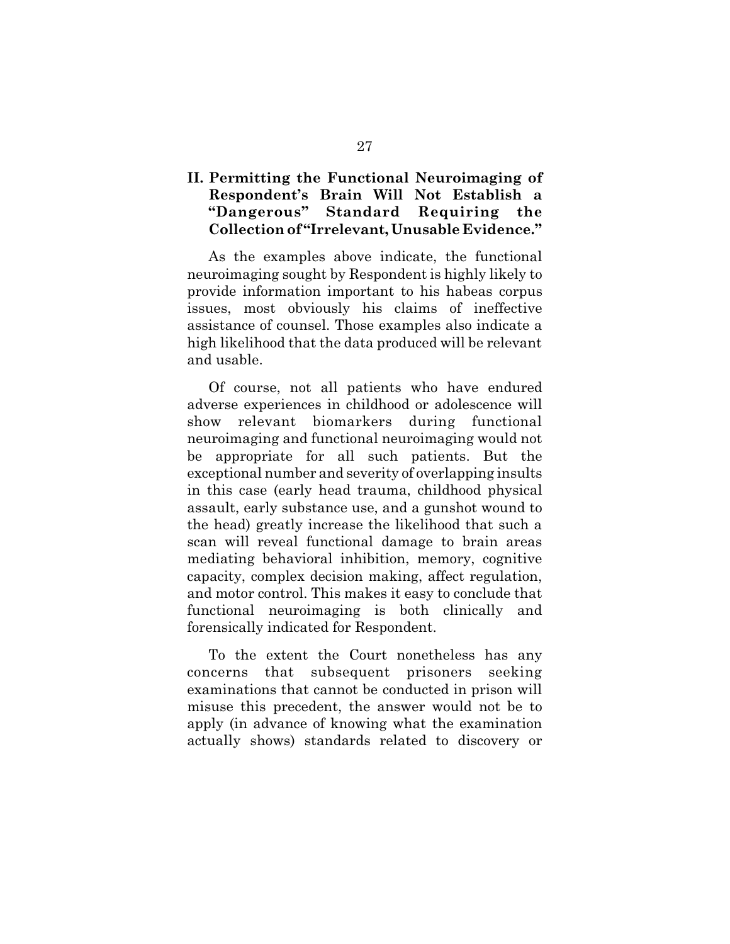## **II. Permitting the Functional Neuroimaging of Respondent's Brain Will Not Establish a "Dangerous" Standard Requiring the Collection of "Irrelevant, Unusable Evidence."**

As the examples above indicate, the functional neuroimaging sought by Respondent is highly likely to provide information important to his habeas corpus issues, most obviously his claims of ineffective assistance of counsel. Those examples also indicate a high likelihood that the data produced will be relevant and usable.

Of course, not all patients who have endured adverse experiences in childhood or adolescence will show relevant biomarkers during functional neuroimaging and functional neuroimaging would not be appropriate for all such patients. But the exceptional number and severity of overlapping insults in this case (early head trauma, childhood physical assault, early substance use, and a gunshot wound to the head) greatly increase the likelihood that such a scan will reveal functional damage to brain areas mediating behavioral inhibition, memory, cognitive capacity, complex decision making, affect regulation, and motor control. This makes it easy to conclude that functional neuroimaging is both clinically and forensically indicated for Respondent.

To the extent the Court nonetheless has any concerns that subsequent prisoners seeking examinations that cannot be conducted in prison will misuse this precedent, the answer would not be to apply (in advance of knowing what the examination actually shows) standards related to discovery or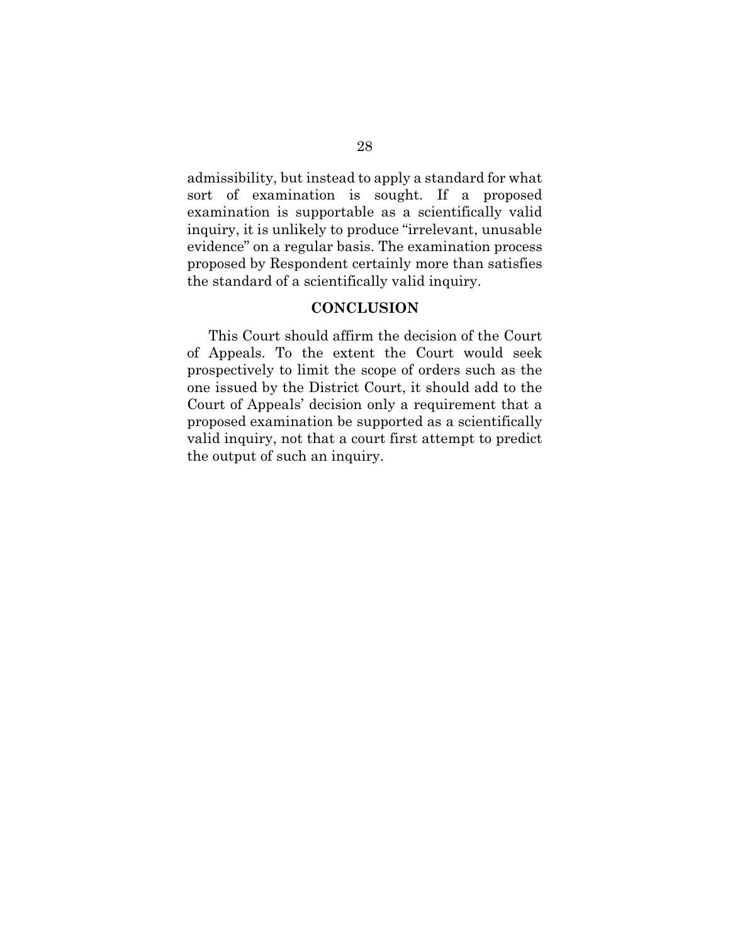admissibility, but instead to apply a standard for what sort of examination is sought. If a proposed examination is supportable as a scientifically valid inquiry, it is unlikely to produce "irrelevant, unusable evidence" on a regular basis. The examination process proposed by Respondent certainly more than satisfies the standard of a scientifically valid inquiry.

#### **CONCLUSION**

This Court should affirm the decision of the Court of Appeals. To the extent the Court would seek prospectively to limit the scope of orders such as the one issued by the District Court, it should add to the Court of Appeals' decision only a requirement that a proposed examination be supported as a scientifically valid inquiry, not that a court first attempt to predict the output of such an inquiry.